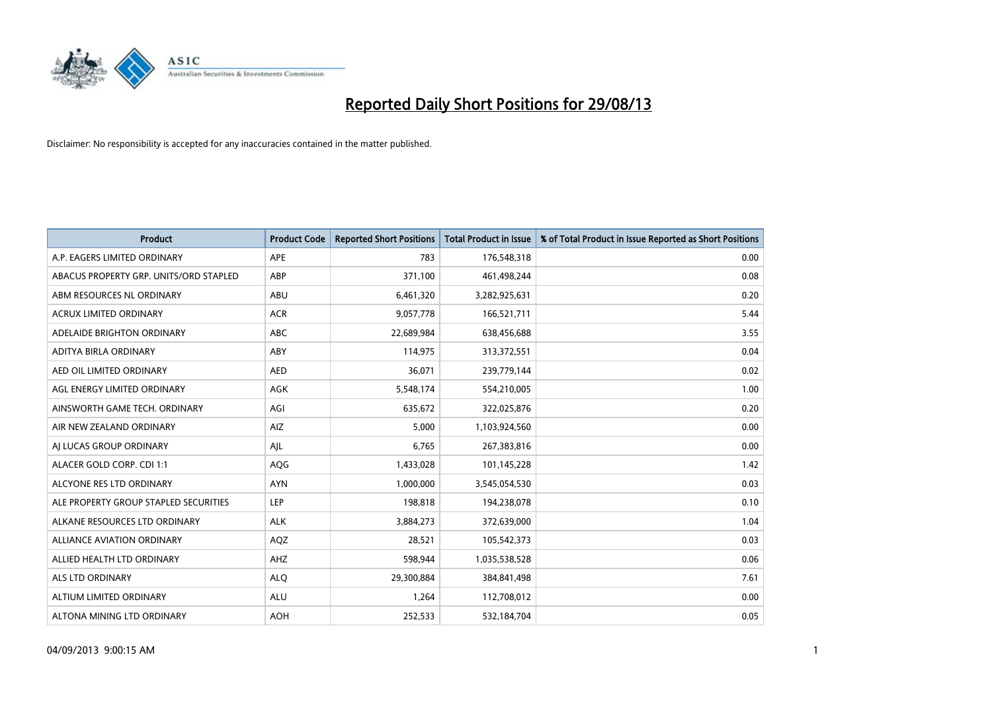

| <b>Product</b>                         | <b>Product Code</b> | <b>Reported Short Positions</b> | <b>Total Product in Issue</b> | % of Total Product in Issue Reported as Short Positions |
|----------------------------------------|---------------------|---------------------------------|-------------------------------|---------------------------------------------------------|
| A.P. EAGERS LIMITED ORDINARY           | APE                 | 783                             | 176,548,318                   | 0.00                                                    |
| ABACUS PROPERTY GRP. UNITS/ORD STAPLED | ABP                 | 371,100                         | 461,498,244                   | 0.08                                                    |
| ABM RESOURCES NL ORDINARY              | ABU                 | 6,461,320                       | 3,282,925,631                 | 0.20                                                    |
| <b>ACRUX LIMITED ORDINARY</b>          | <b>ACR</b>          | 9,057,778                       | 166,521,711                   | 5.44                                                    |
| ADELAIDE BRIGHTON ORDINARY             | ABC                 | 22,689,984                      | 638,456,688                   | 3.55                                                    |
| ADITYA BIRLA ORDINARY                  | ABY                 | 114,975                         | 313,372,551                   | 0.04                                                    |
| AED OIL LIMITED ORDINARY               | <b>AED</b>          | 36,071                          | 239,779,144                   | 0.02                                                    |
| AGL ENERGY LIMITED ORDINARY            | <b>AGK</b>          | 5,548,174                       | 554,210,005                   | 1.00                                                    |
| AINSWORTH GAME TECH. ORDINARY          | AGI                 | 635,672                         | 322,025,876                   | 0.20                                                    |
| AIR NEW ZEALAND ORDINARY               | AIZ                 | 5,000                           | 1,103,924,560                 | 0.00                                                    |
| AI LUCAS GROUP ORDINARY                | AJL                 | 6,765                           | 267,383,816                   | 0.00                                                    |
| ALACER GOLD CORP. CDI 1:1              | AQG                 | 1,433,028                       | 101,145,228                   | 1.42                                                    |
| ALCYONE RES LTD ORDINARY               | <b>AYN</b>          | 1,000,000                       | 3,545,054,530                 | 0.03                                                    |
| ALE PROPERTY GROUP STAPLED SECURITIES  | LEP                 | 198,818                         | 194,238,078                   | 0.10                                                    |
| ALKANE RESOURCES LTD ORDINARY          | <b>ALK</b>          | 3,884,273                       | 372,639,000                   | 1.04                                                    |
| ALLIANCE AVIATION ORDINARY             | AQZ                 | 28,521                          | 105,542,373                   | 0.03                                                    |
| ALLIED HEALTH LTD ORDINARY             | AHZ                 | 598,944                         | 1,035,538,528                 | 0.06                                                    |
| ALS LTD ORDINARY                       | <b>ALQ</b>          | 29,300,884                      | 384, 841, 498                 | 7.61                                                    |
| ALTIUM LIMITED ORDINARY                | <b>ALU</b>          | 1,264                           | 112,708,012                   | 0.00                                                    |
| ALTONA MINING LTD ORDINARY             | <b>AOH</b>          | 252,533                         | 532,184,704                   | 0.05                                                    |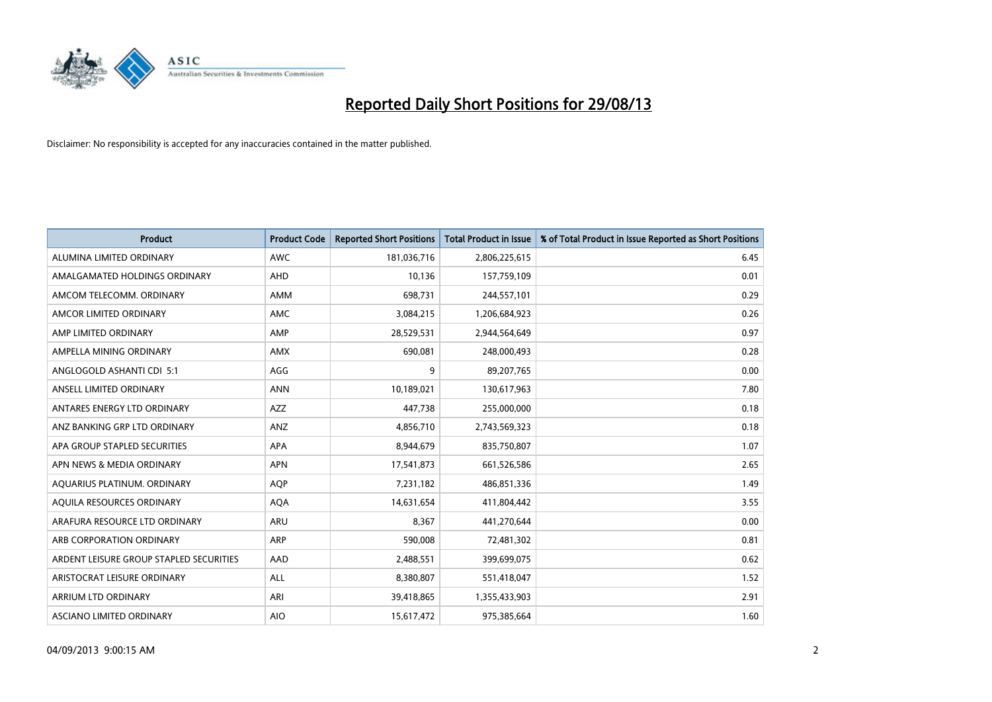

| <b>Product</b>                          | <b>Product Code</b> | <b>Reported Short Positions</b> | <b>Total Product in Issue</b> | % of Total Product in Issue Reported as Short Positions |
|-----------------------------------------|---------------------|---------------------------------|-------------------------------|---------------------------------------------------------|
| ALUMINA LIMITED ORDINARY                | <b>AWC</b>          | 181,036,716                     | 2,806,225,615                 | 6.45                                                    |
| AMALGAMATED HOLDINGS ORDINARY           | <b>AHD</b>          | 10,136                          | 157,759,109                   | 0.01                                                    |
| AMCOM TELECOMM. ORDINARY                | AMM                 | 698,731                         | 244,557,101                   | 0.29                                                    |
| AMCOR LIMITED ORDINARY                  | AMC                 | 3,084,215                       | 1,206,684,923                 | 0.26                                                    |
| AMP LIMITED ORDINARY                    | AMP                 | 28,529,531                      | 2,944,564,649                 | 0.97                                                    |
| AMPELLA MINING ORDINARY                 | AMX                 | 690,081                         | 248,000,493                   | 0.28                                                    |
| ANGLOGOLD ASHANTI CDI 5:1               | AGG                 | 9                               | 89,207,765                    | 0.00                                                    |
| ANSELL LIMITED ORDINARY                 | <b>ANN</b>          | 10,189,021                      | 130,617,963                   | 7.80                                                    |
| ANTARES ENERGY LTD ORDINARY             | <b>AZZ</b>          | 447,738                         | 255,000,000                   | 0.18                                                    |
| ANZ BANKING GRP LTD ORDINARY            | ANZ                 | 4,856,710                       | 2,743,569,323                 | 0.18                                                    |
| APA GROUP STAPLED SECURITIES            | APA                 | 8,944,679                       | 835,750,807                   | 1.07                                                    |
| APN NEWS & MEDIA ORDINARY               | <b>APN</b>          | 17,541,873                      | 661,526,586                   | 2.65                                                    |
| AQUARIUS PLATINUM. ORDINARY             | <b>AOP</b>          | 7,231,182                       | 486,851,336                   | 1.49                                                    |
| AOUILA RESOURCES ORDINARY               | <b>AQA</b>          | 14,631,654                      | 411,804,442                   | 3.55                                                    |
| ARAFURA RESOURCE LTD ORDINARY           | ARU                 | 8,367                           | 441,270,644                   | 0.00                                                    |
| ARB CORPORATION ORDINARY                | ARP                 | 590,008                         | 72,481,302                    | 0.81                                                    |
| ARDENT LEISURE GROUP STAPLED SECURITIES | AAD                 | 2,488,551                       | 399,699,075                   | 0.62                                                    |
| ARISTOCRAT LEISURE ORDINARY             | ALL                 | 8,380,807                       | 551,418,047                   | 1.52                                                    |
| ARRIUM LTD ORDINARY                     | ARI                 | 39,418,865                      | 1,355,433,903                 | 2.91                                                    |
| ASCIANO LIMITED ORDINARY                | <b>AIO</b>          | 15,617,472                      | 975,385,664                   | 1.60                                                    |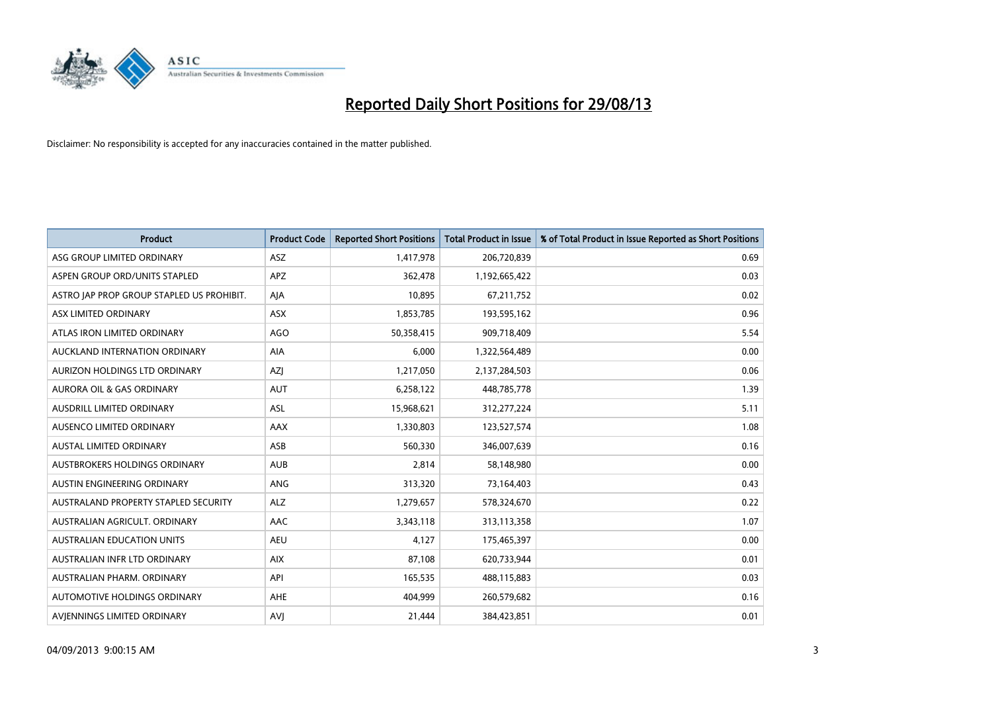

| <b>Product</b>                            | <b>Product Code</b> | <b>Reported Short Positions</b> | <b>Total Product in Issue</b> | % of Total Product in Issue Reported as Short Positions |
|-------------------------------------------|---------------------|---------------------------------|-------------------------------|---------------------------------------------------------|
| ASG GROUP LIMITED ORDINARY                | ASZ                 | 1,417,978                       | 206,720,839                   | 0.69                                                    |
| ASPEN GROUP ORD/UNITS STAPLED             | APZ                 | 362,478                         | 1,192,665,422                 | 0.03                                                    |
| ASTRO JAP PROP GROUP STAPLED US PROHIBIT. | AJA                 | 10,895                          | 67,211,752                    | 0.02                                                    |
| ASX LIMITED ORDINARY                      | ASX                 | 1,853,785                       | 193,595,162                   | 0.96                                                    |
| ATLAS IRON LIMITED ORDINARY               | AGO                 | 50,358,415                      | 909,718,409                   | 5.54                                                    |
| AUCKLAND INTERNATION ORDINARY             | <b>AIA</b>          | 6,000                           | 1,322,564,489                 | 0.00                                                    |
| AURIZON HOLDINGS LTD ORDINARY             | AZJ                 | 1,217,050                       | 2,137,284,503                 | 0.06                                                    |
| AURORA OIL & GAS ORDINARY                 | <b>AUT</b>          | 6,258,122                       | 448,785,778                   | 1.39                                                    |
| AUSDRILL LIMITED ORDINARY                 | <b>ASL</b>          | 15,968,621                      | 312,277,224                   | 5.11                                                    |
| AUSENCO LIMITED ORDINARY                  | AAX                 | 1,330,803                       | 123,527,574                   | 1.08                                                    |
| AUSTAL LIMITED ORDINARY                   | ASB                 | 560,330                         | 346,007,639                   | 0.16                                                    |
| AUSTBROKERS HOLDINGS ORDINARY             | <b>AUB</b>          | 2,814                           | 58,148,980                    | 0.00                                                    |
| AUSTIN ENGINEERING ORDINARY               | ANG                 | 313,320                         | 73,164,403                    | 0.43                                                    |
| AUSTRALAND PROPERTY STAPLED SECURITY      | <b>ALZ</b>          | 1,279,657                       | 578,324,670                   | 0.22                                                    |
| AUSTRALIAN AGRICULT, ORDINARY             | AAC                 | 3,343,118                       | 313,113,358                   | 1.07                                                    |
| AUSTRALIAN EDUCATION UNITS                | <b>AEU</b>          | 4,127                           | 175,465,397                   | 0.00                                                    |
| AUSTRALIAN INFR LTD ORDINARY              | <b>AIX</b>          | 87,108                          | 620,733,944                   | 0.01                                                    |
| AUSTRALIAN PHARM, ORDINARY                | API                 | 165,535                         | 488,115,883                   | 0.03                                                    |
| AUTOMOTIVE HOLDINGS ORDINARY              | AHE                 | 404,999                         | 260,579,682                   | 0.16                                                    |
| AVJENNINGS LIMITED ORDINARY               | <b>AVJ</b>          | 21,444                          | 384,423,851                   | 0.01                                                    |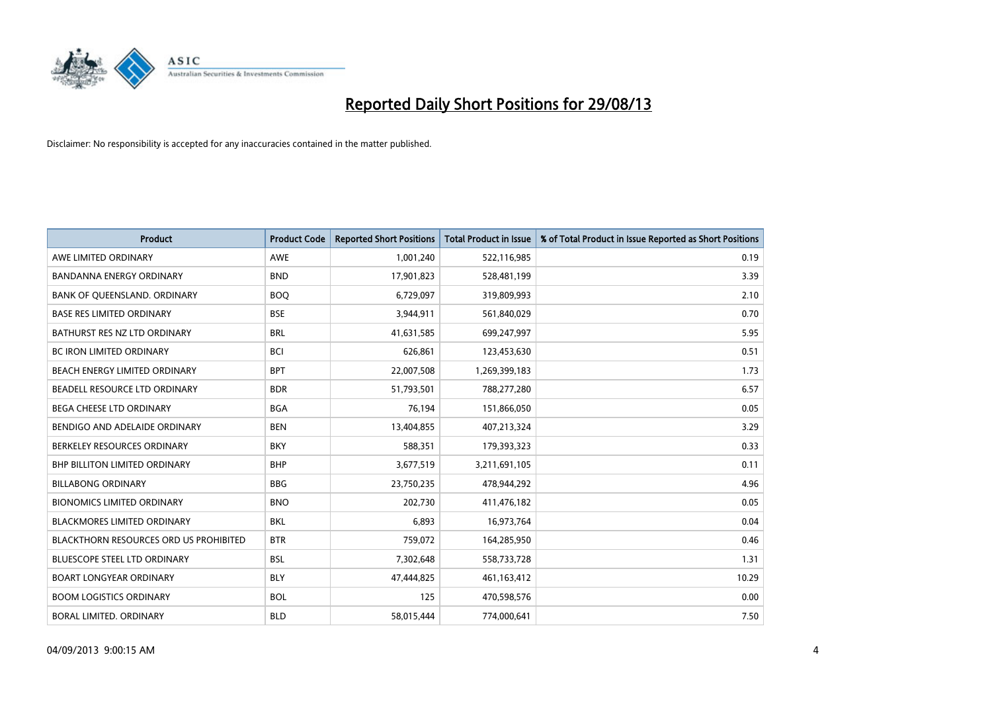

| <b>Product</b>                         | <b>Product Code</b> | <b>Reported Short Positions</b> | <b>Total Product in Issue</b> | % of Total Product in Issue Reported as Short Positions |
|----------------------------------------|---------------------|---------------------------------|-------------------------------|---------------------------------------------------------|
| AWE LIMITED ORDINARY                   | <b>AWE</b>          | 1,001,240                       | 522,116,985                   | 0.19                                                    |
| BANDANNA ENERGY ORDINARY               | <b>BND</b>          | 17,901,823                      | 528,481,199                   | 3.39                                                    |
| BANK OF QUEENSLAND. ORDINARY           | <b>BOQ</b>          | 6,729,097                       | 319,809,993                   | 2.10                                                    |
| <b>BASE RES LIMITED ORDINARY</b>       | <b>BSE</b>          | 3,944,911                       | 561,840,029                   | 0.70                                                    |
| BATHURST RES NZ LTD ORDINARY           | <b>BRL</b>          | 41,631,585                      | 699,247,997                   | 5.95                                                    |
| <b>BC IRON LIMITED ORDINARY</b>        | <b>BCI</b>          | 626,861                         | 123,453,630                   | 0.51                                                    |
| BEACH ENERGY LIMITED ORDINARY          | <b>BPT</b>          | 22,007,508                      | 1,269,399,183                 | 1.73                                                    |
| BEADELL RESOURCE LTD ORDINARY          | <b>BDR</b>          | 51,793,501                      | 788,277,280                   | 6.57                                                    |
| <b>BEGA CHEESE LTD ORDINARY</b>        | <b>BGA</b>          | 76,194                          | 151,866,050                   | 0.05                                                    |
| BENDIGO AND ADELAIDE ORDINARY          | <b>BEN</b>          | 13,404,855                      | 407,213,324                   | 3.29                                                    |
| BERKELEY RESOURCES ORDINARY            | <b>BKY</b>          | 588,351                         | 179,393,323                   | 0.33                                                    |
| <b>BHP BILLITON LIMITED ORDINARY</b>   | <b>BHP</b>          | 3,677,519                       | 3,211,691,105                 | 0.11                                                    |
| <b>BILLABONG ORDINARY</b>              | <b>BBG</b>          | 23,750,235                      | 478,944,292                   | 4.96                                                    |
| <b>BIONOMICS LIMITED ORDINARY</b>      | <b>BNO</b>          | 202,730                         | 411,476,182                   | 0.05                                                    |
| <b>BLACKMORES LIMITED ORDINARY</b>     | <b>BKL</b>          | 6,893                           | 16,973,764                    | 0.04                                                    |
| BLACKTHORN RESOURCES ORD US PROHIBITED | <b>BTR</b>          | 759,072                         | 164,285,950                   | 0.46                                                    |
| BLUESCOPE STEEL LTD ORDINARY           | <b>BSL</b>          | 7,302,648                       | 558,733,728                   | 1.31                                                    |
| <b>BOART LONGYEAR ORDINARY</b>         | <b>BLY</b>          | 47,444,825                      | 461,163,412                   | 10.29                                                   |
| <b>BOOM LOGISTICS ORDINARY</b>         | <b>BOL</b>          | 125                             | 470,598,576                   | 0.00                                                    |
| BORAL LIMITED. ORDINARY                | <b>BLD</b>          | 58,015,444                      | 774,000,641                   | 7.50                                                    |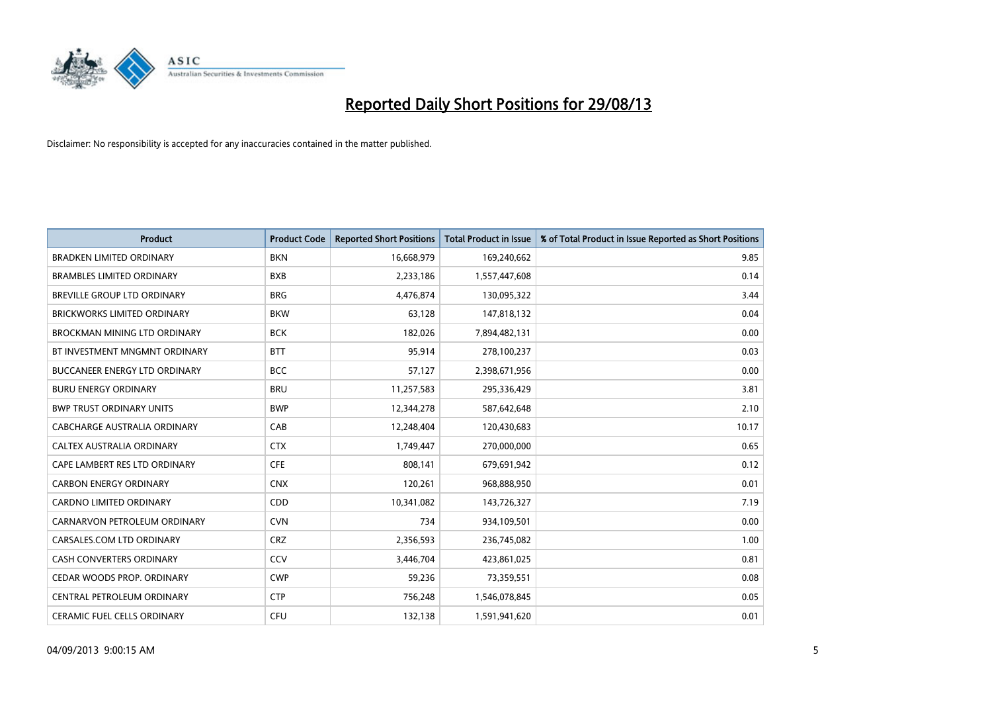

| <b>Product</b>                       | <b>Product Code</b> | <b>Reported Short Positions</b> | <b>Total Product in Issue</b> | % of Total Product in Issue Reported as Short Positions |
|--------------------------------------|---------------------|---------------------------------|-------------------------------|---------------------------------------------------------|
| <b>BRADKEN LIMITED ORDINARY</b>      | <b>BKN</b>          | 16,668,979                      | 169,240,662                   | 9.85                                                    |
| <b>BRAMBLES LIMITED ORDINARY</b>     | <b>BXB</b>          | 2,233,186                       | 1,557,447,608                 | 0.14                                                    |
| BREVILLE GROUP LTD ORDINARY          | <b>BRG</b>          | 4,476,874                       | 130,095,322                   | 3.44                                                    |
| BRICKWORKS LIMITED ORDINARY          | <b>BKW</b>          | 63,128                          | 147,818,132                   | 0.04                                                    |
| <b>BROCKMAN MINING LTD ORDINARY</b>  | <b>BCK</b>          | 182,026                         | 7,894,482,131                 | 0.00                                                    |
| BT INVESTMENT MNGMNT ORDINARY        | <b>BTT</b>          | 95,914                          | 278,100,237                   | 0.03                                                    |
| <b>BUCCANEER ENERGY LTD ORDINARY</b> | <b>BCC</b>          | 57,127                          | 2,398,671,956                 | 0.00                                                    |
| <b>BURU ENERGY ORDINARY</b>          | <b>BRU</b>          | 11,257,583                      | 295,336,429                   | 3.81                                                    |
| <b>BWP TRUST ORDINARY UNITS</b>      | <b>BWP</b>          | 12,344,278                      | 587,642,648                   | 2.10                                                    |
| <b>CABCHARGE AUSTRALIA ORDINARY</b>  | CAB                 | 12,248,404                      | 120,430,683                   | 10.17                                                   |
| CALTEX AUSTRALIA ORDINARY            | <b>CTX</b>          | 1,749,447                       | 270,000,000                   | 0.65                                                    |
| CAPE LAMBERT RES LTD ORDINARY        | <b>CFE</b>          | 808,141                         | 679,691,942                   | 0.12                                                    |
| <b>CARBON ENERGY ORDINARY</b>        | <b>CNX</b>          | 120,261                         | 968,888,950                   | 0.01                                                    |
| <b>CARDNO LIMITED ORDINARY</b>       | CDD                 | 10,341,082                      | 143,726,327                   | 7.19                                                    |
| CARNARVON PETROLEUM ORDINARY         | <b>CVN</b>          | 734                             | 934,109,501                   | 0.00                                                    |
| CARSALES.COM LTD ORDINARY            | <b>CRZ</b>          | 2,356,593                       | 236,745,082                   | 1.00                                                    |
| <b>CASH CONVERTERS ORDINARY</b>      | CCV                 | 3,446,704                       | 423,861,025                   | 0.81                                                    |
| CEDAR WOODS PROP. ORDINARY           | <b>CWP</b>          | 59,236                          | 73,359,551                    | 0.08                                                    |
| CENTRAL PETROLEUM ORDINARY           | <b>CTP</b>          | 756,248                         | 1,546,078,845                 | 0.05                                                    |
| CERAMIC FUEL CELLS ORDINARY          | <b>CFU</b>          | 132,138                         | 1,591,941,620                 | 0.01                                                    |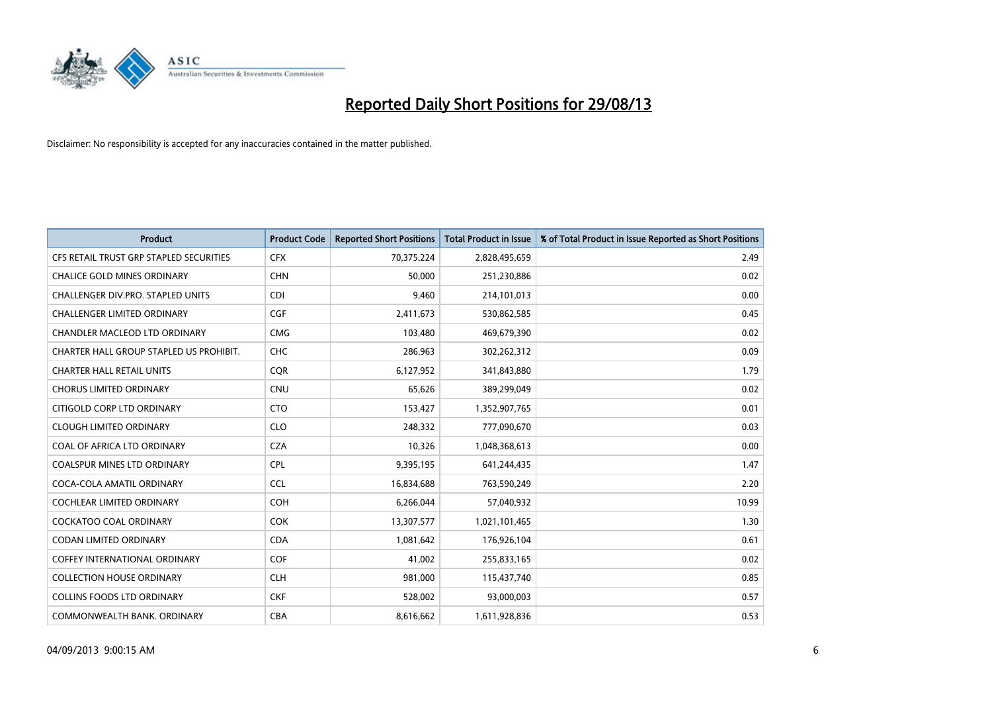

| <b>Product</b>                          | <b>Product Code</b> | <b>Reported Short Positions</b> | <b>Total Product in Issue</b> | % of Total Product in Issue Reported as Short Positions |
|-----------------------------------------|---------------------|---------------------------------|-------------------------------|---------------------------------------------------------|
| CFS RETAIL TRUST GRP STAPLED SECURITIES | <b>CFX</b>          | 70,375,224                      | 2,828,495,659                 | 2.49                                                    |
| <b>CHALICE GOLD MINES ORDINARY</b>      | <b>CHN</b>          | 50,000                          | 251,230,886                   | 0.02                                                    |
| CHALLENGER DIV.PRO. STAPLED UNITS       | <b>CDI</b>          | 9,460                           | 214,101,013                   | 0.00                                                    |
| CHALLENGER LIMITED ORDINARY             | <b>CGF</b>          | 2,411,673                       | 530,862,585                   | 0.45                                                    |
| <b>CHANDLER MACLEOD LTD ORDINARY</b>    | <b>CMG</b>          | 103.480                         | 469,679,390                   | 0.02                                                    |
| CHARTER HALL GROUP STAPLED US PROHIBIT. | <b>CHC</b>          | 286,963                         | 302,262,312                   | 0.09                                                    |
| <b>CHARTER HALL RETAIL UNITS</b>        | <b>CQR</b>          | 6,127,952                       | 341,843,880                   | 1.79                                                    |
| <b>CHORUS LIMITED ORDINARY</b>          | <b>CNU</b>          | 65,626                          | 389,299,049                   | 0.02                                                    |
| CITIGOLD CORP LTD ORDINARY              | <b>CTO</b>          | 153,427                         | 1,352,907,765                 | 0.01                                                    |
| <b>CLOUGH LIMITED ORDINARY</b>          | <b>CLO</b>          | 248,332                         | 777,090,670                   | 0.03                                                    |
| COAL OF AFRICA LTD ORDINARY             | <b>CZA</b>          | 10,326                          | 1,048,368,613                 | 0.00                                                    |
| <b>COALSPUR MINES LTD ORDINARY</b>      | <b>CPL</b>          | 9,395,195                       | 641,244,435                   | 1.47                                                    |
| COCA-COLA AMATIL ORDINARY               | <b>CCL</b>          | 16,834,688                      | 763,590,249                   | 2.20                                                    |
| <b>COCHLEAR LIMITED ORDINARY</b>        | <b>COH</b>          | 6,266,044                       | 57,040,932                    | 10.99                                                   |
| <b>COCKATOO COAL ORDINARY</b>           | <b>COK</b>          | 13,307,577                      | 1,021,101,465                 | 1.30                                                    |
| <b>CODAN LIMITED ORDINARY</b>           | <b>CDA</b>          | 1,081,642                       | 176,926,104                   | 0.61                                                    |
| <b>COFFEY INTERNATIONAL ORDINARY</b>    | <b>COF</b>          | 41,002                          | 255,833,165                   | 0.02                                                    |
| <b>COLLECTION HOUSE ORDINARY</b>        | <b>CLH</b>          | 981,000                         | 115,437,740                   | 0.85                                                    |
| <b>COLLINS FOODS LTD ORDINARY</b>       | <b>CKF</b>          | 528,002                         | 93,000,003                    | 0.57                                                    |
| COMMONWEALTH BANK, ORDINARY             | <b>CBA</b>          | 8,616,662                       | 1,611,928,836                 | 0.53                                                    |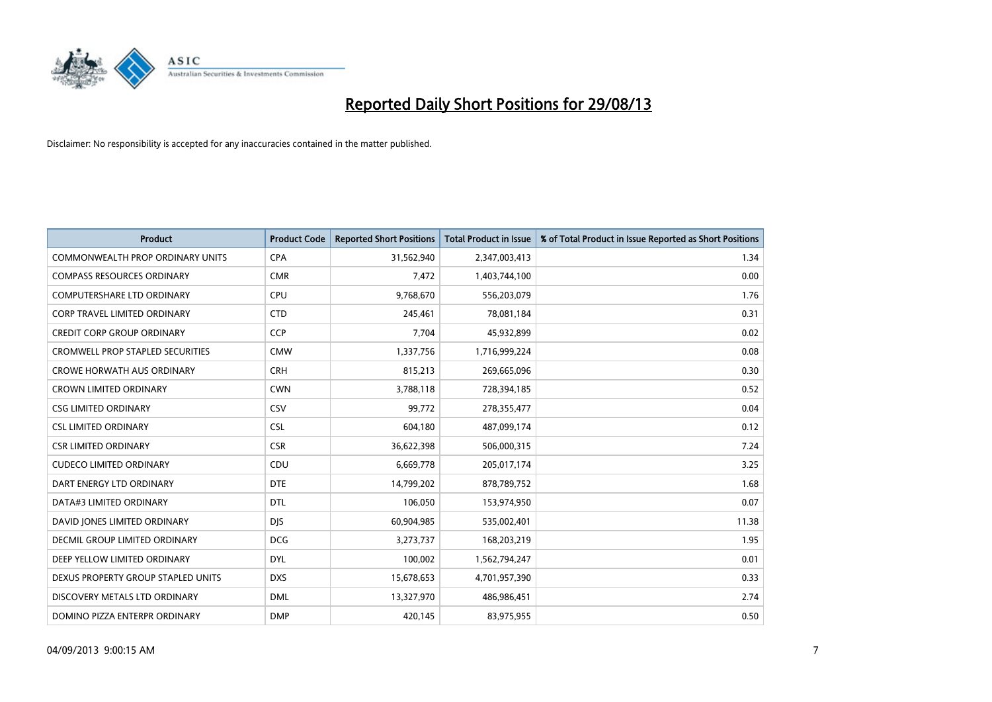

| <b>Product</b>                          | <b>Product Code</b> | <b>Reported Short Positions</b> | <b>Total Product in Issue</b> | % of Total Product in Issue Reported as Short Positions |
|-----------------------------------------|---------------------|---------------------------------|-------------------------------|---------------------------------------------------------|
| <b>COMMONWEALTH PROP ORDINARY UNITS</b> | <b>CPA</b>          | 31,562,940                      | 2,347,003,413                 | 1.34                                                    |
| <b>COMPASS RESOURCES ORDINARY</b>       | <b>CMR</b>          | 7,472                           | 1,403,744,100                 | 0.00                                                    |
| <b>COMPUTERSHARE LTD ORDINARY</b>       | <b>CPU</b>          | 9,768,670                       | 556,203,079                   | 1.76                                                    |
| <b>CORP TRAVEL LIMITED ORDINARY</b>     | <b>CTD</b>          | 245,461                         | 78,081,184                    | 0.31                                                    |
| <b>CREDIT CORP GROUP ORDINARY</b>       | <b>CCP</b>          | 7,704                           | 45,932,899                    | 0.02                                                    |
| <b>CROMWELL PROP STAPLED SECURITIES</b> | <b>CMW</b>          | 1,337,756                       | 1,716,999,224                 | 0.08                                                    |
| <b>CROWE HORWATH AUS ORDINARY</b>       | <b>CRH</b>          | 815,213                         | 269,665,096                   | 0.30                                                    |
| <b>CROWN LIMITED ORDINARY</b>           | <b>CWN</b>          | 3,788,118                       | 728,394,185                   | 0.52                                                    |
| <b>CSG LIMITED ORDINARY</b>             | CSV                 | 99,772                          | 278,355,477                   | 0.04                                                    |
| <b>CSL LIMITED ORDINARY</b>             | <b>CSL</b>          | 604,180                         | 487,099,174                   | 0.12                                                    |
| <b>CSR LIMITED ORDINARY</b>             | <b>CSR</b>          | 36,622,398                      | 506,000,315                   | 7.24                                                    |
| <b>CUDECO LIMITED ORDINARY</b>          | CDU                 | 6,669,778                       | 205,017,174                   | 3.25                                                    |
| DART ENERGY LTD ORDINARY                | <b>DTE</b>          | 14,799,202                      | 878,789,752                   | 1.68                                                    |
| DATA#3 LIMITED ORDINARY                 | <b>DTL</b>          | 106,050                         | 153,974,950                   | 0.07                                                    |
| DAVID JONES LIMITED ORDINARY            | <b>DJS</b>          | 60,904,985                      | 535,002,401                   | 11.38                                                   |
| <b>DECMIL GROUP LIMITED ORDINARY</b>    | <b>DCG</b>          | 3,273,737                       | 168,203,219                   | 1.95                                                    |
| DEEP YELLOW LIMITED ORDINARY            | <b>DYL</b>          | 100,002                         | 1,562,794,247                 | 0.01                                                    |
| DEXUS PROPERTY GROUP STAPLED UNITS      | <b>DXS</b>          | 15,678,653                      | 4,701,957,390                 | 0.33                                                    |
| DISCOVERY METALS LTD ORDINARY           | <b>DML</b>          | 13,327,970                      | 486,986,451                   | 2.74                                                    |
| DOMINO PIZZA ENTERPR ORDINARY           | <b>DMP</b>          | 420,145                         | 83,975,955                    | 0.50                                                    |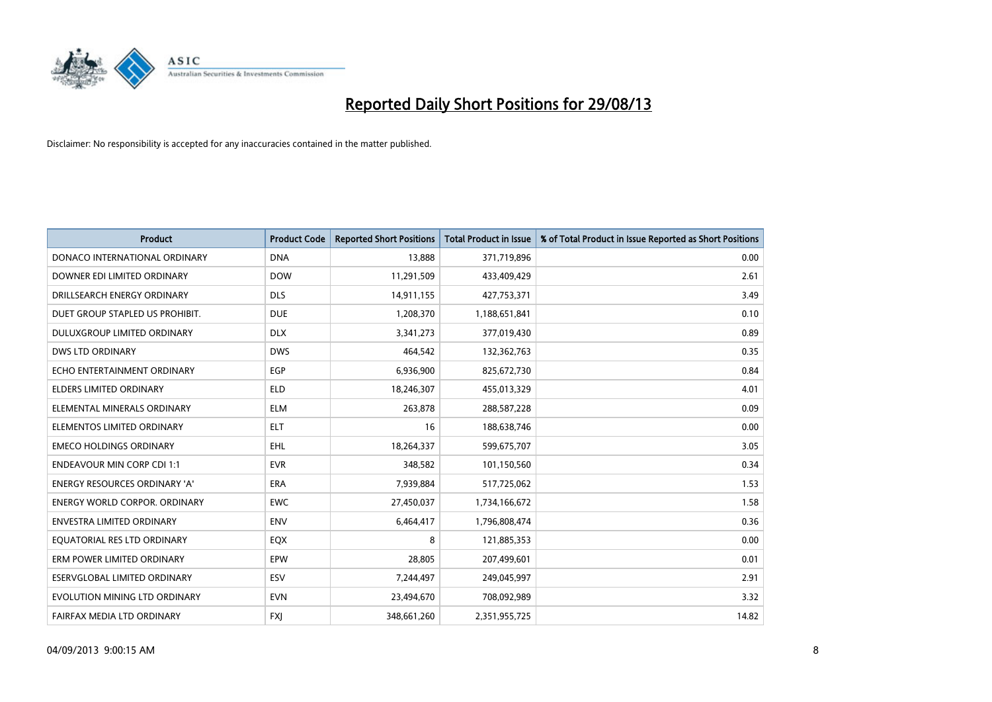

| <b>Product</b>                       | <b>Product Code</b> | <b>Reported Short Positions</b> | <b>Total Product in Issue</b> | % of Total Product in Issue Reported as Short Positions |
|--------------------------------------|---------------------|---------------------------------|-------------------------------|---------------------------------------------------------|
| DONACO INTERNATIONAL ORDINARY        | <b>DNA</b>          | 13,888                          | 371,719,896                   | 0.00                                                    |
| DOWNER EDI LIMITED ORDINARY          | <b>DOW</b>          | 11,291,509                      | 433,409,429                   | 2.61                                                    |
| DRILLSEARCH ENERGY ORDINARY          | <b>DLS</b>          | 14,911,155                      | 427,753,371                   | 3.49                                                    |
| DUET GROUP STAPLED US PROHIBIT.      | <b>DUE</b>          | 1,208,370                       | 1,188,651,841                 | 0.10                                                    |
| <b>DULUXGROUP LIMITED ORDINARY</b>   | <b>DLX</b>          | 3,341,273                       | 377,019,430                   | 0.89                                                    |
| <b>DWS LTD ORDINARY</b>              | <b>DWS</b>          | 464,542                         | 132,362,763                   | 0.35                                                    |
| ECHO ENTERTAINMENT ORDINARY          | <b>EGP</b>          | 6,936,900                       | 825,672,730                   | 0.84                                                    |
| <b>ELDERS LIMITED ORDINARY</b>       | <b>ELD</b>          | 18,246,307                      | 455,013,329                   | 4.01                                                    |
| ELEMENTAL MINERALS ORDINARY          | <b>ELM</b>          | 263,878                         | 288,587,228                   | 0.09                                                    |
| ELEMENTOS LIMITED ORDINARY           | <b>ELT</b>          | 16                              | 188,638,746                   | 0.00                                                    |
| <b>EMECO HOLDINGS ORDINARY</b>       | <b>EHL</b>          | 18,264,337                      | 599,675,707                   | 3.05                                                    |
| <b>ENDEAVOUR MIN CORP CDI 1:1</b>    | <b>EVR</b>          | 348,582                         | 101,150,560                   | 0.34                                                    |
| ENERGY RESOURCES ORDINARY 'A'        | <b>ERA</b>          | 7,939,884                       | 517,725,062                   | 1.53                                                    |
| <b>ENERGY WORLD CORPOR, ORDINARY</b> | <b>EWC</b>          | 27,450,037                      | 1,734,166,672                 | 1.58                                                    |
| <b>ENVESTRA LIMITED ORDINARY</b>     | <b>ENV</b>          | 6,464,417                       | 1,796,808,474                 | 0.36                                                    |
| EQUATORIAL RES LTD ORDINARY          | EQX                 | 8                               | 121,885,353                   | 0.00                                                    |
| ERM POWER LIMITED ORDINARY           | <b>EPW</b>          | 28,805                          | 207,499,601                   | 0.01                                                    |
| <b>ESERVGLOBAL LIMITED ORDINARY</b>  | <b>ESV</b>          | 7,244,497                       | 249,045,997                   | 2.91                                                    |
| EVOLUTION MINING LTD ORDINARY        | <b>EVN</b>          | 23,494,670                      | 708,092,989                   | 3.32                                                    |
| FAIRFAX MEDIA LTD ORDINARY           | <b>FXJ</b>          | 348,661,260                     | 2,351,955,725                 | 14.82                                                   |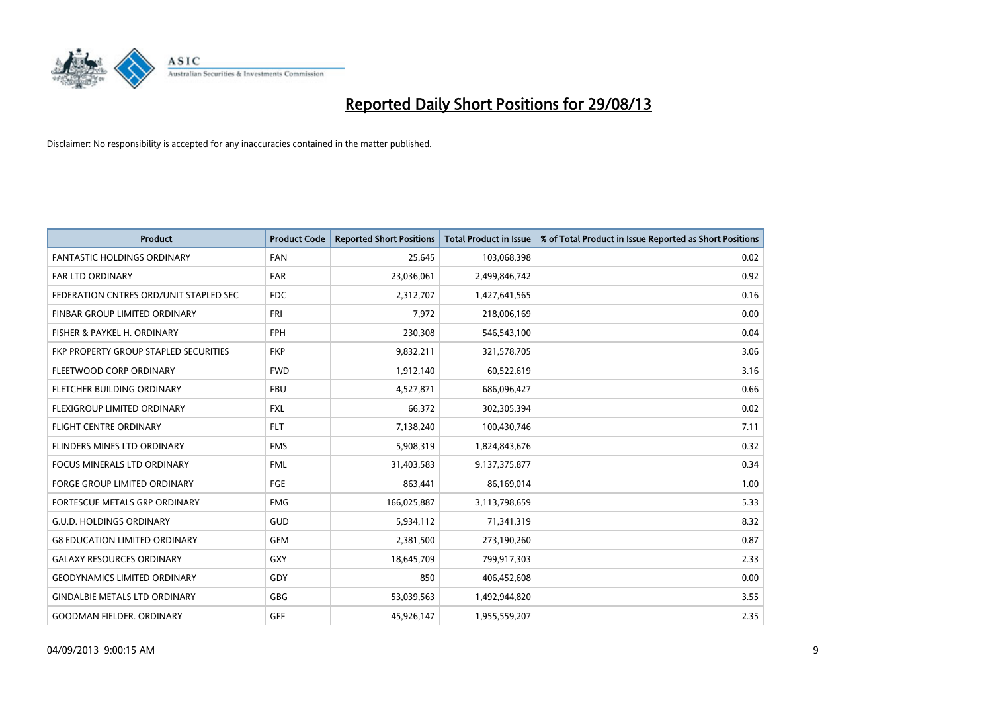

| <b>Product</b>                         | <b>Product Code</b> | <b>Reported Short Positions</b> | <b>Total Product in Issue</b> | % of Total Product in Issue Reported as Short Positions |
|----------------------------------------|---------------------|---------------------------------|-------------------------------|---------------------------------------------------------|
| <b>FANTASTIC HOLDINGS ORDINARY</b>     | <b>FAN</b>          | 25,645                          | 103,068,398                   | 0.02                                                    |
| <b>FAR LTD ORDINARY</b>                | <b>FAR</b>          | 23,036,061                      | 2,499,846,742                 | 0.92                                                    |
| FEDERATION CNTRES ORD/UNIT STAPLED SEC | <b>FDC</b>          | 2,312,707                       | 1,427,641,565                 | 0.16                                                    |
| FINBAR GROUP LIMITED ORDINARY          | <b>FRI</b>          | 7,972                           | 218,006,169                   | 0.00                                                    |
| FISHER & PAYKEL H. ORDINARY            | <b>FPH</b>          | 230,308                         | 546,543,100                   | 0.04                                                    |
| FKP PROPERTY GROUP STAPLED SECURITIES  | <b>FKP</b>          | 9,832,211                       | 321,578,705                   | 3.06                                                    |
| FLEETWOOD CORP ORDINARY                | <b>FWD</b>          | 1,912,140                       | 60,522,619                    | 3.16                                                    |
| FLETCHER BUILDING ORDINARY             | <b>FBU</b>          | 4,527,871                       | 686,096,427                   | 0.66                                                    |
| FLEXIGROUP LIMITED ORDINARY            | <b>FXL</b>          | 66,372                          | 302,305,394                   | 0.02                                                    |
| <b>FLIGHT CENTRE ORDINARY</b>          | <b>FLT</b>          | 7,138,240                       | 100,430,746                   | 7.11                                                    |
| FLINDERS MINES LTD ORDINARY            | <b>FMS</b>          | 5,908,319                       | 1,824,843,676                 | 0.32                                                    |
| <b>FOCUS MINERALS LTD ORDINARY</b>     | <b>FML</b>          | 31,403,583                      | 9,137,375,877                 | 0.34                                                    |
| <b>FORGE GROUP LIMITED ORDINARY</b>    | <b>FGE</b>          | 863,441                         | 86,169,014                    | 1.00                                                    |
| FORTESCUE METALS GRP ORDINARY          | <b>FMG</b>          | 166,025,887                     | 3,113,798,659                 | 5.33                                                    |
| <b>G.U.D. HOLDINGS ORDINARY</b>        | GUD                 | 5,934,112                       | 71,341,319                    | 8.32                                                    |
| <b>G8 EDUCATION LIMITED ORDINARY</b>   | <b>GEM</b>          | 2,381,500                       | 273,190,260                   | 0.87                                                    |
| <b>GALAXY RESOURCES ORDINARY</b>       | GXY                 | 18,645,709                      | 799,917,303                   | 2.33                                                    |
| <b>GEODYNAMICS LIMITED ORDINARY</b>    | GDY                 | 850                             | 406,452,608                   | 0.00                                                    |
| <b>GINDALBIE METALS LTD ORDINARY</b>   | GBG                 | 53,039,563                      | 1,492,944,820                 | 3.55                                                    |
| <b>GOODMAN FIELDER, ORDINARY</b>       | GFF                 | 45,926,147                      | 1,955,559,207                 | 2.35                                                    |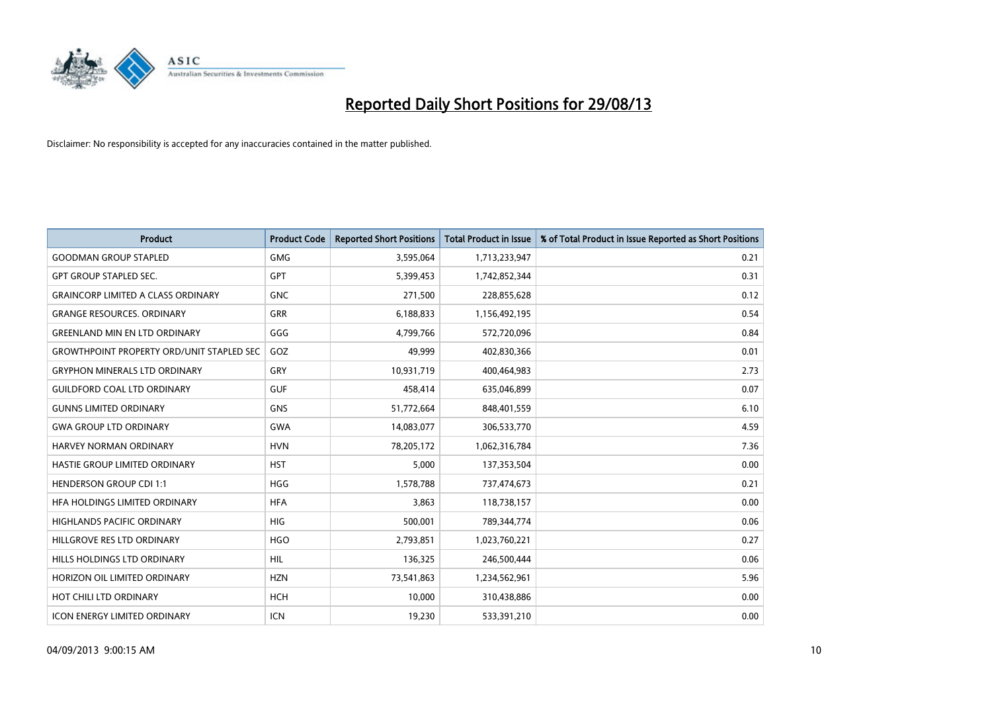

| <b>Product</b>                                   | <b>Product Code</b> | <b>Reported Short Positions</b> | <b>Total Product in Issue</b> | % of Total Product in Issue Reported as Short Positions |
|--------------------------------------------------|---------------------|---------------------------------|-------------------------------|---------------------------------------------------------|
| <b>GOODMAN GROUP STAPLED</b>                     | <b>GMG</b>          | 3,595,064                       | 1,713,233,947                 | 0.21                                                    |
| <b>GPT GROUP STAPLED SEC.</b>                    | <b>GPT</b>          | 5,399,453                       | 1,742,852,344                 | 0.31                                                    |
| <b>GRAINCORP LIMITED A CLASS ORDINARY</b>        | <b>GNC</b>          | 271,500                         | 228,855,628                   | 0.12                                                    |
| <b>GRANGE RESOURCES, ORDINARY</b>                | <b>GRR</b>          | 6,188,833                       | 1,156,492,195                 | 0.54                                                    |
| <b>GREENLAND MIN EN LTD ORDINARY</b>             | GGG                 | 4,799,766                       | 572,720,096                   | 0.84                                                    |
| <b>GROWTHPOINT PROPERTY ORD/UNIT STAPLED SEC</b> | GOZ                 | 49,999                          | 402,830,366                   | 0.01                                                    |
| <b>GRYPHON MINERALS LTD ORDINARY</b>             | <b>GRY</b>          | 10,931,719                      | 400,464,983                   | 2.73                                                    |
| <b>GUILDFORD COAL LTD ORDINARY</b>               | <b>GUF</b>          | 458,414                         | 635,046,899                   | 0.07                                                    |
| <b>GUNNS LIMITED ORDINARY</b>                    | <b>GNS</b>          | 51,772,664                      | 848,401,559                   | 6.10                                                    |
| <b>GWA GROUP LTD ORDINARY</b>                    | <b>GWA</b>          | 14,083,077                      | 306,533,770                   | 4.59                                                    |
| HARVEY NORMAN ORDINARY                           | <b>HVN</b>          | 78,205,172                      | 1,062,316,784                 | 7.36                                                    |
| HASTIE GROUP LIMITED ORDINARY                    | <b>HST</b>          | 5,000                           | 137,353,504                   | 0.00                                                    |
| <b>HENDERSON GROUP CDI 1:1</b>                   | <b>HGG</b>          | 1,578,788                       | 737,474,673                   | 0.21                                                    |
| HEA HOLDINGS LIMITED ORDINARY                    | <b>HFA</b>          | 3,863                           | 118,738,157                   | 0.00                                                    |
| HIGHLANDS PACIFIC ORDINARY                       | <b>HIG</b>          | 500,001                         | 789,344,774                   | 0.06                                                    |
| HILLGROVE RES LTD ORDINARY                       | <b>HGO</b>          | 2,793,851                       | 1,023,760,221                 | 0.27                                                    |
| HILLS HOLDINGS LTD ORDINARY                      | <b>HIL</b>          | 136,325                         | 246,500,444                   | 0.06                                                    |
| HORIZON OIL LIMITED ORDINARY                     | <b>HZN</b>          | 73,541,863                      | 1,234,562,961                 | 5.96                                                    |
| HOT CHILI LTD ORDINARY                           | <b>HCH</b>          | 10,000                          | 310,438,886                   | 0.00                                                    |
| <b>ICON ENERGY LIMITED ORDINARY</b>              | <b>ICN</b>          | 19,230                          | 533,391,210                   | 0.00                                                    |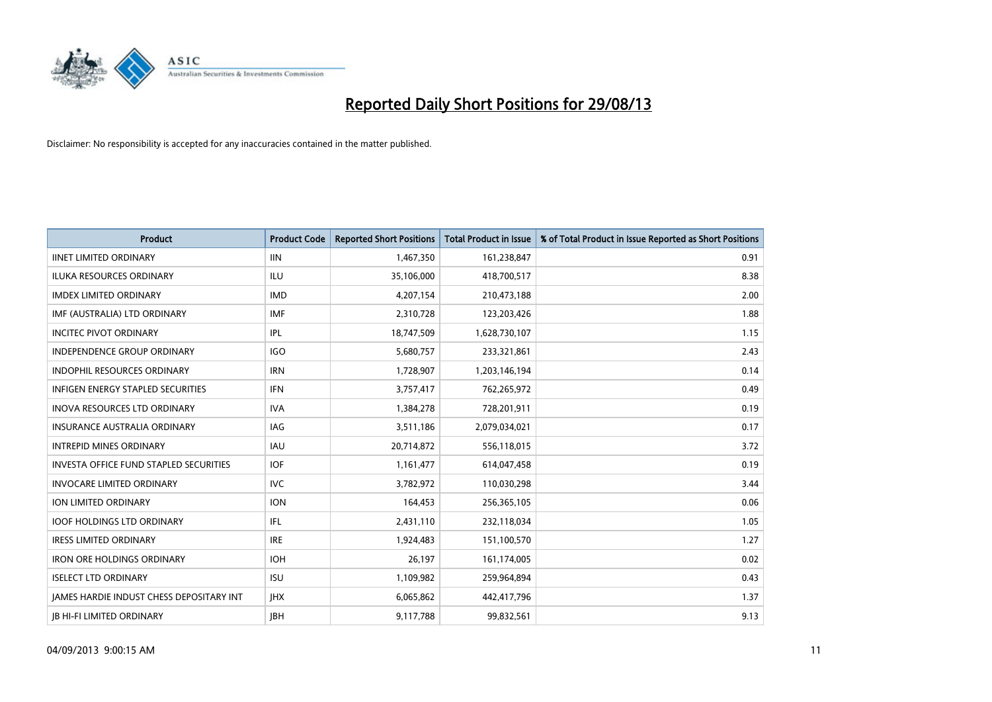

| <b>Product</b>                                  | <b>Product Code</b> | <b>Reported Short Positions</b> | <b>Total Product in Issue</b> | % of Total Product in Issue Reported as Short Positions |
|-------------------------------------------------|---------------------|---------------------------------|-------------------------------|---------------------------------------------------------|
| <b>IINET LIMITED ORDINARY</b>                   | <b>IIN</b>          | 1,467,350                       | 161,238,847                   | 0.91                                                    |
| ILUKA RESOURCES ORDINARY                        | ILU                 | 35,106,000                      | 418,700,517                   | 8.38                                                    |
| <b>IMDEX LIMITED ORDINARY</b>                   | <b>IMD</b>          | 4,207,154                       | 210,473,188                   | 2.00                                                    |
| IMF (AUSTRALIA) LTD ORDINARY                    | <b>IMF</b>          | 2,310,728                       | 123,203,426                   | 1.88                                                    |
| <b>INCITEC PIVOT ORDINARY</b>                   | IPL                 | 18,747,509                      | 1,628,730,107                 | 1.15                                                    |
| INDEPENDENCE GROUP ORDINARY                     | <b>IGO</b>          | 5,680,757                       | 233,321,861                   | 2.43                                                    |
| <b>INDOPHIL RESOURCES ORDINARY</b>              | <b>IRN</b>          | 1,728,907                       | 1,203,146,194                 | 0.14                                                    |
| <b>INFIGEN ENERGY STAPLED SECURITIES</b>        | <b>IFN</b>          | 3,757,417                       | 762,265,972                   | 0.49                                                    |
| INOVA RESOURCES LTD ORDINARY                    | <b>IVA</b>          | 1,384,278                       | 728,201,911                   | 0.19                                                    |
| INSURANCE AUSTRALIA ORDINARY                    | <b>IAG</b>          | 3,511,186                       | 2,079,034,021                 | 0.17                                                    |
| <b>INTREPID MINES ORDINARY</b>                  | <b>IAU</b>          | 20,714,872                      | 556,118,015                   | 3.72                                                    |
| <b>INVESTA OFFICE FUND STAPLED SECURITIES</b>   | <b>IOF</b>          | 1,161,477                       | 614,047,458                   | 0.19                                                    |
| <b>INVOCARE LIMITED ORDINARY</b>                | <b>IVC</b>          | 3,782,972                       | 110,030,298                   | 3.44                                                    |
| ION LIMITED ORDINARY                            | <b>ION</b>          | 164,453                         | 256,365,105                   | 0.06                                                    |
| <b>IOOF HOLDINGS LTD ORDINARY</b>               | IFL                 | 2,431,110                       | 232,118,034                   | 1.05                                                    |
| <b>IRESS LIMITED ORDINARY</b>                   | <b>IRE</b>          | 1,924,483                       | 151,100,570                   | 1.27                                                    |
| <b>IRON ORE HOLDINGS ORDINARY</b>               | <b>IOH</b>          | 26,197                          | 161,174,005                   | 0.02                                                    |
| <b>ISELECT LTD ORDINARY</b>                     | <b>ISU</b>          | 1,109,982                       | 259,964,894                   | 0.43                                                    |
| <b>IAMES HARDIE INDUST CHESS DEPOSITARY INT</b> | <b>IHX</b>          | 6,065,862                       | 442,417,796                   | 1.37                                                    |
| <b>IB HI-FI LIMITED ORDINARY</b>                | <b>JBH</b>          | 9,117,788                       | 99,832,561                    | 9.13                                                    |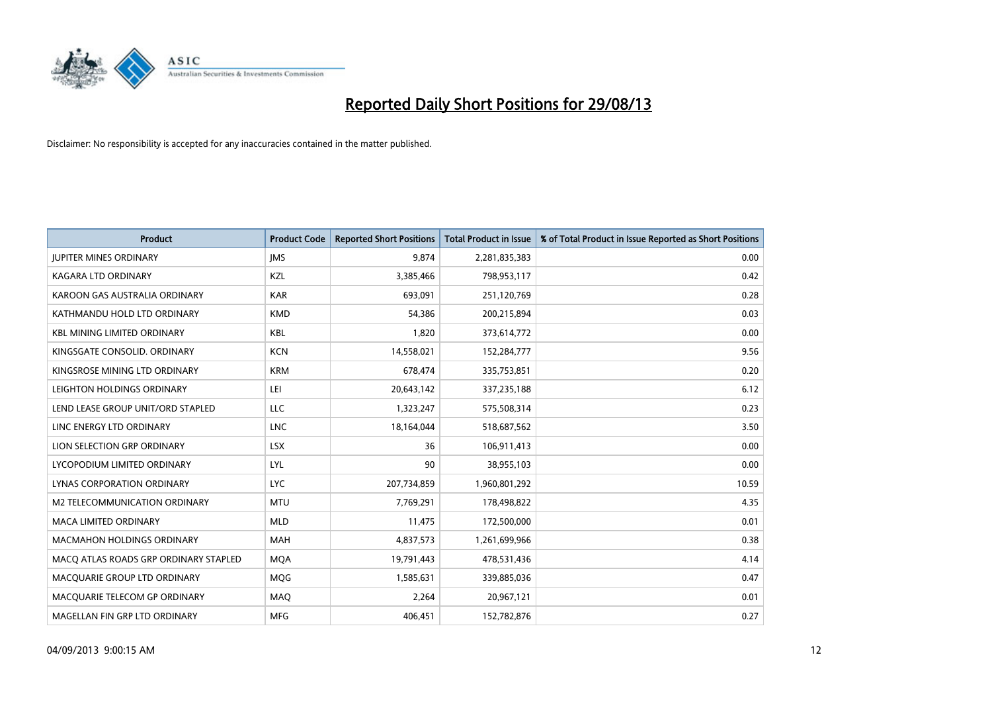

| <b>Product</b>                        | <b>Product Code</b> | <b>Reported Short Positions</b> | <b>Total Product in Issue</b> | % of Total Product in Issue Reported as Short Positions |
|---------------------------------------|---------------------|---------------------------------|-------------------------------|---------------------------------------------------------|
| <b>JUPITER MINES ORDINARY</b>         | <b>IMS</b>          | 9,874                           | 2,281,835,383                 | 0.00                                                    |
| KAGARA LTD ORDINARY                   | KZL                 | 3,385,466                       | 798,953,117                   | 0.42                                                    |
| KAROON GAS AUSTRALIA ORDINARY         | <b>KAR</b>          | 693,091                         | 251,120,769                   | 0.28                                                    |
| KATHMANDU HOLD LTD ORDINARY           | <b>KMD</b>          | 54,386                          | 200,215,894                   | 0.03                                                    |
| <b>KBL MINING LIMITED ORDINARY</b>    | <b>KBL</b>          | 1,820                           | 373,614,772                   | 0.00                                                    |
| KINGSGATE CONSOLID. ORDINARY          | <b>KCN</b>          | 14,558,021                      | 152,284,777                   | 9.56                                                    |
| KINGSROSE MINING LTD ORDINARY         | <b>KRM</b>          | 678,474                         | 335,753,851                   | 0.20                                                    |
| LEIGHTON HOLDINGS ORDINARY            | LEI                 | 20,643,142                      | 337,235,188                   | 6.12                                                    |
| LEND LEASE GROUP UNIT/ORD STAPLED     | <b>LLC</b>          | 1,323,247                       | 575,508,314                   | 0.23                                                    |
| LINC ENERGY LTD ORDINARY              | <b>LNC</b>          | 18,164,044                      | 518,687,562                   | 3.50                                                    |
| LION SELECTION GRP ORDINARY           | <b>LSX</b>          | 36                              | 106,911,413                   | 0.00                                                    |
| LYCOPODIUM LIMITED ORDINARY           | LYL                 | 90                              | 38,955,103                    | 0.00                                                    |
| LYNAS CORPORATION ORDINARY            | <b>LYC</b>          | 207,734,859                     | 1,960,801,292                 | 10.59                                                   |
| <b>M2 TELECOMMUNICATION ORDINARY</b>  | <b>MTU</b>          | 7,769,291                       | 178,498,822                   | 4.35                                                    |
| <b>MACA LIMITED ORDINARY</b>          | <b>MLD</b>          | 11,475                          | 172,500,000                   | 0.01                                                    |
| MACMAHON HOLDINGS ORDINARY            | MAH                 | 4,837,573                       | 1,261,699,966                 | 0.38                                                    |
| MACO ATLAS ROADS GRP ORDINARY STAPLED | <b>MQA</b>          | 19,791,443                      | 478,531,436                   | 4.14                                                    |
| MACQUARIE GROUP LTD ORDINARY          | <b>MQG</b>          | 1,585,631                       | 339,885,036                   | 0.47                                                    |
| MACQUARIE TELECOM GP ORDINARY         | MAQ                 | 2,264                           | 20,967,121                    | 0.01                                                    |
| MAGELLAN FIN GRP LTD ORDINARY         | <b>MFG</b>          | 406,451                         | 152,782,876                   | 0.27                                                    |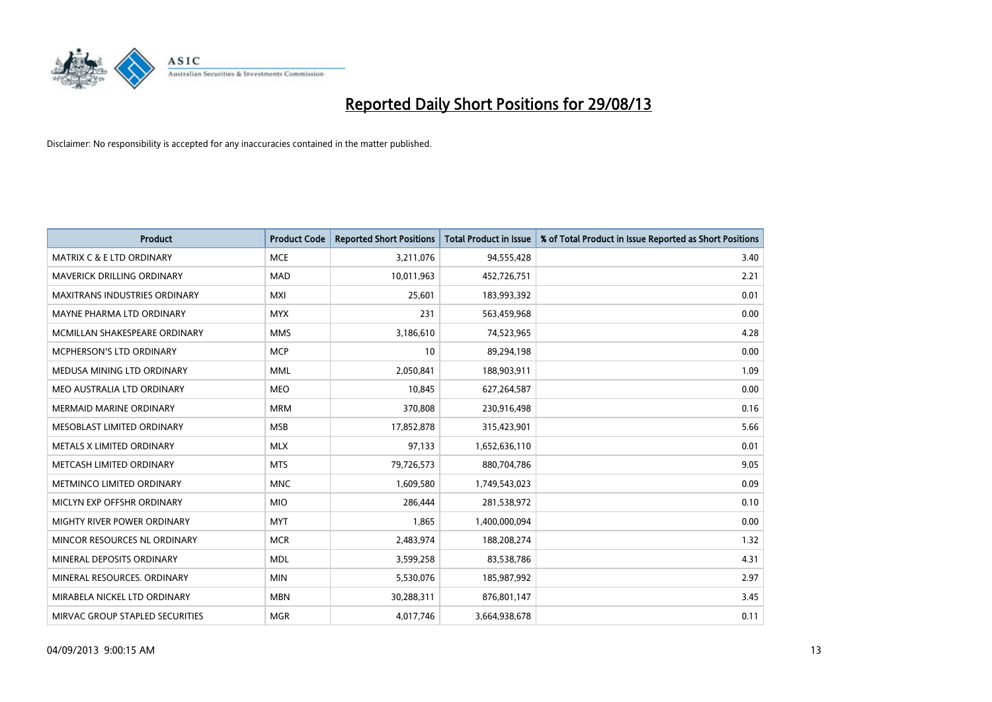

| <b>Product</b>                       | <b>Product Code</b> | <b>Reported Short Positions</b> | <b>Total Product in Issue</b> | % of Total Product in Issue Reported as Short Positions |
|--------------------------------------|---------------------|---------------------------------|-------------------------------|---------------------------------------------------------|
| <b>MATRIX C &amp; E LTD ORDINARY</b> | <b>MCE</b>          | 3,211,076                       | 94,555,428                    | 3.40                                                    |
| MAVERICK DRILLING ORDINARY           | <b>MAD</b>          | 10,011,963                      | 452,726,751                   | 2.21                                                    |
| <b>MAXITRANS INDUSTRIES ORDINARY</b> | <b>MXI</b>          | 25,601                          | 183,993,392                   | 0.01                                                    |
| MAYNE PHARMA LTD ORDINARY            | <b>MYX</b>          | 231                             | 563,459,968                   | 0.00                                                    |
| MCMILLAN SHAKESPEARE ORDINARY        | <b>MMS</b>          | 3,186,610                       | 74,523,965                    | 4.28                                                    |
| <b>MCPHERSON'S LTD ORDINARY</b>      | <b>MCP</b>          | 10                              | 89,294,198                    | 0.00                                                    |
| MEDUSA MINING LTD ORDINARY           | MML                 | 2,050,841                       | 188,903,911                   | 1.09                                                    |
| MEO AUSTRALIA LTD ORDINARY           | <b>MEO</b>          | 10,845                          | 627,264,587                   | 0.00                                                    |
| <b>MERMAID MARINE ORDINARY</b>       | <b>MRM</b>          | 370,808                         | 230,916,498                   | 0.16                                                    |
| MESOBLAST LIMITED ORDINARY           | <b>MSB</b>          | 17,852,878                      | 315,423,901                   | 5.66                                                    |
| METALS X LIMITED ORDINARY            | <b>MLX</b>          | 97,133                          | 1,652,636,110                 | 0.01                                                    |
| METCASH LIMITED ORDINARY             | <b>MTS</b>          | 79,726,573                      | 880,704,786                   | 9.05                                                    |
| METMINCO LIMITED ORDINARY            | <b>MNC</b>          | 1,609,580                       | 1,749,543,023                 | 0.09                                                    |
| MICLYN EXP OFFSHR ORDINARY           | <b>MIO</b>          | 286,444                         | 281,538,972                   | 0.10                                                    |
| MIGHTY RIVER POWER ORDINARY          | <b>MYT</b>          | 1,865                           | 1,400,000,094                 | 0.00                                                    |
| MINCOR RESOURCES NL ORDINARY         | <b>MCR</b>          | 2,483,974                       | 188,208,274                   | 1.32                                                    |
| MINERAL DEPOSITS ORDINARY            | <b>MDL</b>          | 3,599,258                       | 83,538,786                    | 4.31                                                    |
| MINERAL RESOURCES. ORDINARY          | <b>MIN</b>          | 5,530,076                       | 185,987,992                   | 2.97                                                    |
| MIRABELA NICKEL LTD ORDINARY         | <b>MBN</b>          | 30,288,311                      | 876,801,147                   | 3.45                                                    |
| MIRVAC GROUP STAPLED SECURITIES      | <b>MGR</b>          | 4,017,746                       | 3,664,938,678                 | 0.11                                                    |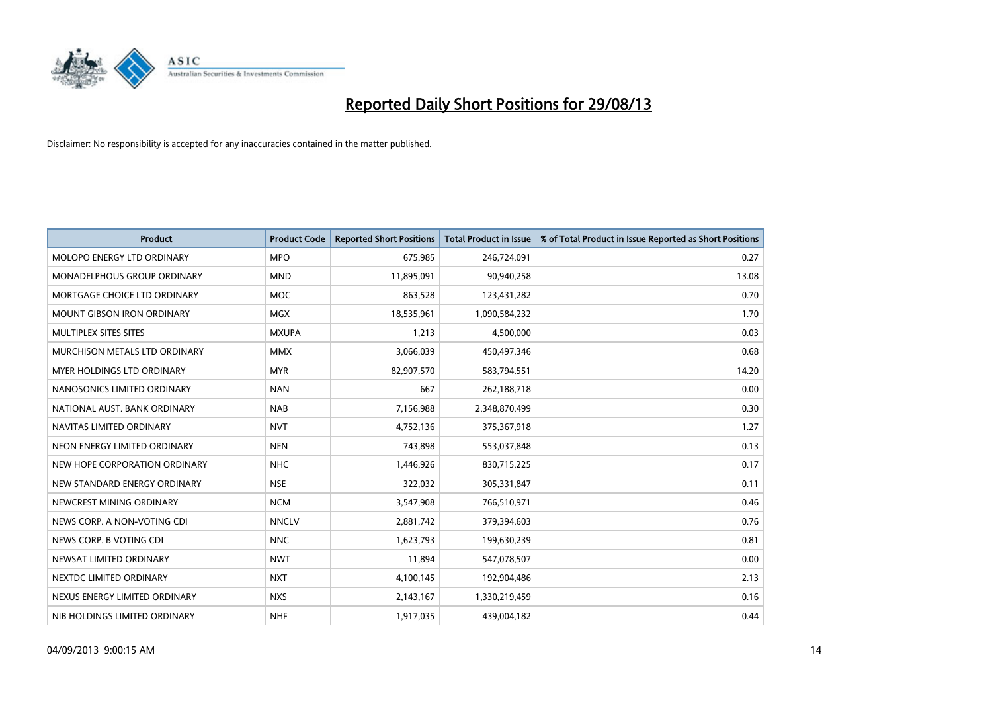

| <b>Product</b>                    | <b>Product Code</b> | <b>Reported Short Positions</b> | <b>Total Product in Issue</b> | % of Total Product in Issue Reported as Short Positions |
|-----------------------------------|---------------------|---------------------------------|-------------------------------|---------------------------------------------------------|
| MOLOPO ENERGY LTD ORDINARY        | <b>MPO</b>          | 675,985                         | 246,724,091                   | 0.27                                                    |
| MONADELPHOUS GROUP ORDINARY       | <b>MND</b>          | 11,895,091                      | 90,940,258                    | 13.08                                                   |
| MORTGAGE CHOICE LTD ORDINARY      | <b>MOC</b>          | 863,528                         | 123,431,282                   | 0.70                                                    |
| MOUNT GIBSON IRON ORDINARY        | <b>MGX</b>          | 18,535,961                      | 1,090,584,232                 | 1.70                                                    |
| MULTIPLEX SITES SITES             | <b>MXUPA</b>        | 1,213                           | 4,500,000                     | 0.03                                                    |
| MURCHISON METALS LTD ORDINARY     | <b>MMX</b>          | 3,066,039                       | 450,497,346                   | 0.68                                                    |
| <b>MYER HOLDINGS LTD ORDINARY</b> | <b>MYR</b>          | 82,907,570                      | 583,794,551                   | 14.20                                                   |
| NANOSONICS LIMITED ORDINARY       | <b>NAN</b>          | 667                             | 262,188,718                   | 0.00                                                    |
| NATIONAL AUST. BANK ORDINARY      | <b>NAB</b>          | 7,156,988                       | 2,348,870,499                 | 0.30                                                    |
| NAVITAS LIMITED ORDINARY          | <b>NVT</b>          | 4,752,136                       | 375,367,918                   | 1.27                                                    |
| NEON ENERGY LIMITED ORDINARY      | <b>NEN</b>          | 743,898                         | 553,037,848                   | 0.13                                                    |
| NEW HOPE CORPORATION ORDINARY     | <b>NHC</b>          | 1,446,926                       | 830,715,225                   | 0.17                                                    |
| NEW STANDARD ENERGY ORDINARY      | <b>NSE</b>          | 322,032                         | 305,331,847                   | 0.11                                                    |
| NEWCREST MINING ORDINARY          | <b>NCM</b>          | 3,547,908                       | 766,510,971                   | 0.46                                                    |
| NEWS CORP. A NON-VOTING CDI       | <b>NNCLV</b>        | 2,881,742                       | 379,394,603                   | 0.76                                                    |
| NEWS CORP. B VOTING CDI           | <b>NNC</b>          | 1,623,793                       | 199,630,239                   | 0.81                                                    |
| NEWSAT LIMITED ORDINARY           | <b>NWT</b>          | 11,894                          | 547,078,507                   | 0.00                                                    |
| NEXTDC LIMITED ORDINARY           | <b>NXT</b>          | 4,100,145                       | 192,904,486                   | 2.13                                                    |
| NEXUS ENERGY LIMITED ORDINARY     | <b>NXS</b>          | 2,143,167                       | 1,330,219,459                 | 0.16                                                    |
| NIB HOLDINGS LIMITED ORDINARY     | <b>NHF</b>          | 1,917,035                       | 439,004,182                   | 0.44                                                    |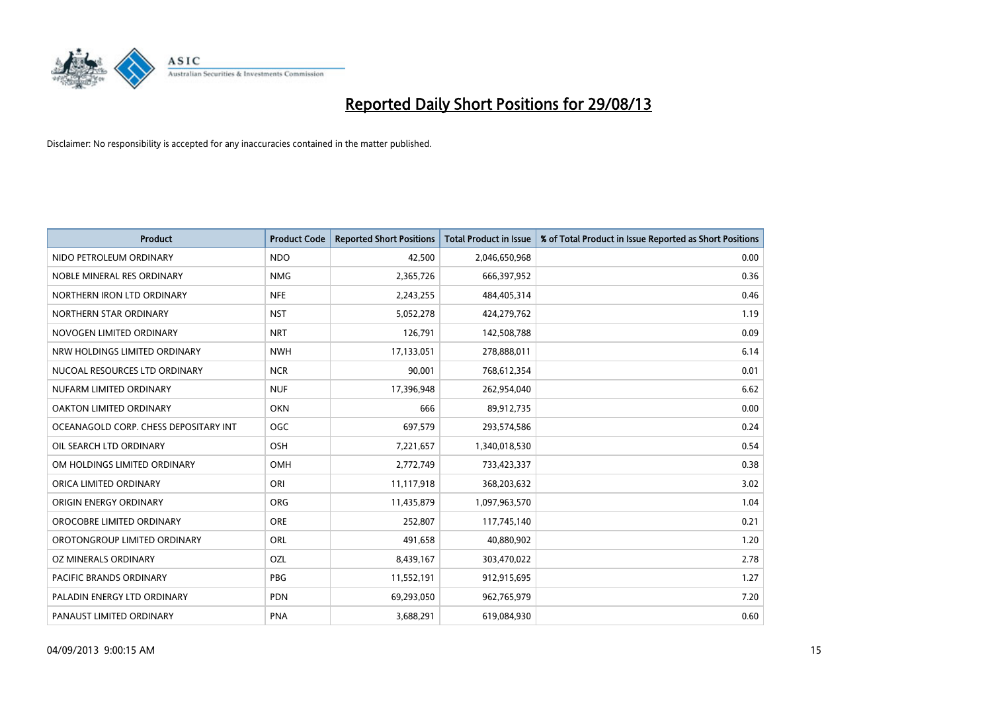

| <b>Product</b>                        | <b>Product Code</b> | <b>Reported Short Positions</b> | <b>Total Product in Issue</b> | % of Total Product in Issue Reported as Short Positions |
|---------------------------------------|---------------------|---------------------------------|-------------------------------|---------------------------------------------------------|
| NIDO PETROLEUM ORDINARY               | <b>NDO</b>          | 42,500                          | 2,046,650,968                 | 0.00                                                    |
| NOBLE MINERAL RES ORDINARY            | <b>NMG</b>          | 2,365,726                       | 666,397,952                   | 0.36                                                    |
| NORTHERN IRON LTD ORDINARY            | <b>NFE</b>          | 2,243,255                       | 484,405,314                   | 0.46                                                    |
| NORTHERN STAR ORDINARY                | <b>NST</b>          | 5,052,278                       | 424,279,762                   | 1.19                                                    |
| NOVOGEN LIMITED ORDINARY              | <b>NRT</b>          | 126,791                         | 142,508,788                   | 0.09                                                    |
| NRW HOLDINGS LIMITED ORDINARY         | <b>NWH</b>          | 17,133,051                      | 278,888,011                   | 6.14                                                    |
| NUCOAL RESOURCES LTD ORDINARY         | <b>NCR</b>          | 90,001                          | 768,612,354                   | 0.01                                                    |
| NUFARM LIMITED ORDINARY               | <b>NUF</b>          | 17,396,948                      | 262,954,040                   | 6.62                                                    |
| <b>OAKTON LIMITED ORDINARY</b>        | <b>OKN</b>          | 666                             | 89,912,735                    | 0.00                                                    |
| OCEANAGOLD CORP. CHESS DEPOSITARY INT | <b>OGC</b>          | 697,579                         | 293,574,586                   | 0.24                                                    |
| OIL SEARCH LTD ORDINARY               | OSH                 | 7,221,657                       | 1,340,018,530                 | 0.54                                                    |
| OM HOLDINGS LIMITED ORDINARY          | OMH                 | 2,772,749                       | 733,423,337                   | 0.38                                                    |
| ORICA LIMITED ORDINARY                | ORI                 | 11,117,918                      | 368,203,632                   | 3.02                                                    |
| ORIGIN ENERGY ORDINARY                | <b>ORG</b>          | 11,435,879                      | 1,097,963,570                 | 1.04                                                    |
| OROCOBRE LIMITED ORDINARY             | <b>ORE</b>          | 252,807                         | 117,745,140                   | 0.21                                                    |
| OROTONGROUP LIMITED ORDINARY          | ORL                 | 491,658                         | 40,880,902                    | 1.20                                                    |
| OZ MINERALS ORDINARY                  | OZL                 | 8,439,167                       | 303,470,022                   | 2.78                                                    |
| <b>PACIFIC BRANDS ORDINARY</b>        | <b>PBG</b>          | 11,552,191                      | 912,915,695                   | 1.27                                                    |
| PALADIN ENERGY LTD ORDINARY           | <b>PDN</b>          | 69,293,050                      | 962,765,979                   | 7.20                                                    |
| PANAUST LIMITED ORDINARY              | <b>PNA</b>          | 3,688,291                       | 619,084,930                   | 0.60                                                    |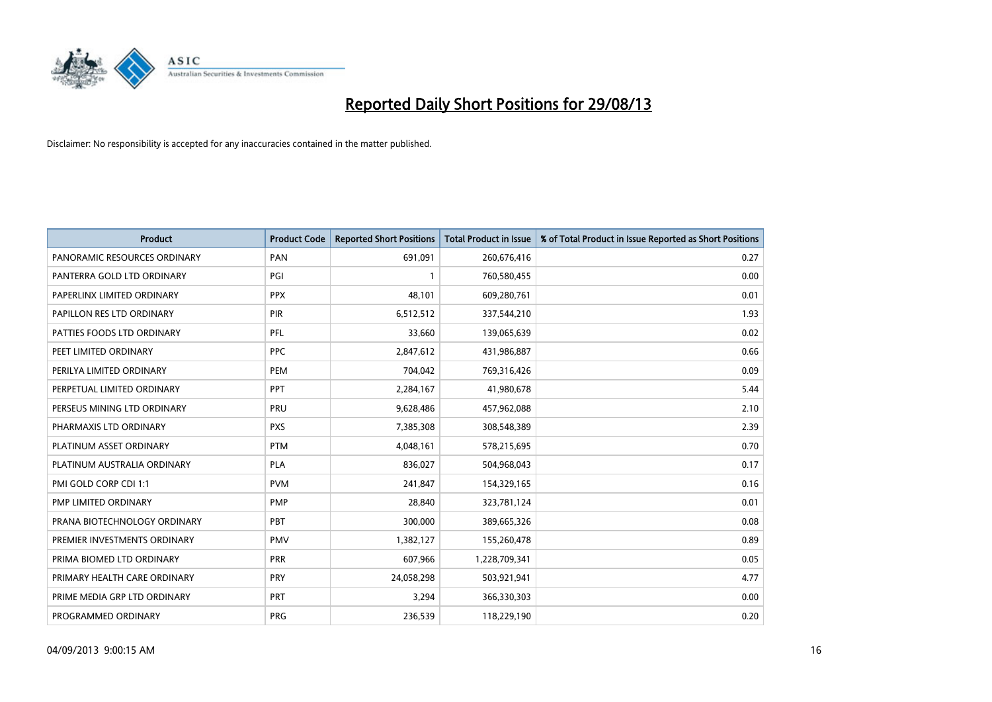

| <b>Product</b>               | <b>Product Code</b> | <b>Reported Short Positions</b> | <b>Total Product in Issue</b> | % of Total Product in Issue Reported as Short Positions |
|------------------------------|---------------------|---------------------------------|-------------------------------|---------------------------------------------------------|
| PANORAMIC RESOURCES ORDINARY | PAN                 | 691,091                         | 260,676,416                   | 0.27                                                    |
| PANTERRA GOLD LTD ORDINARY   | PGI                 |                                 | 760,580,455                   | 0.00                                                    |
| PAPERLINX LIMITED ORDINARY   | <b>PPX</b>          | 48.101                          | 609,280,761                   | 0.01                                                    |
| PAPILLON RES LTD ORDINARY    | <b>PIR</b>          | 6,512,512                       | 337,544,210                   | 1.93                                                    |
| PATTIES FOODS LTD ORDINARY   | PFL                 | 33,660                          | 139,065,639                   | 0.02                                                    |
| PEET LIMITED ORDINARY        | <b>PPC</b>          | 2,847,612                       | 431,986,887                   | 0.66                                                    |
| PERILYA LIMITED ORDINARY     | <b>PEM</b>          | 704,042                         | 769,316,426                   | 0.09                                                    |
| PERPETUAL LIMITED ORDINARY   | PPT                 | 2,284,167                       | 41,980,678                    | 5.44                                                    |
| PERSEUS MINING LTD ORDINARY  | PRU                 | 9,628,486                       | 457,962,088                   | 2.10                                                    |
| PHARMAXIS LTD ORDINARY       | <b>PXS</b>          | 7,385,308                       | 308,548,389                   | 2.39                                                    |
| PLATINUM ASSET ORDINARY      | <b>PTM</b>          | 4,048,161                       | 578,215,695                   | 0.70                                                    |
| PLATINUM AUSTRALIA ORDINARY  | <b>PLA</b>          | 836,027                         | 504,968,043                   | 0.17                                                    |
| PMI GOLD CORP CDI 1:1        | <b>PVM</b>          | 241,847                         | 154,329,165                   | 0.16                                                    |
| PMP LIMITED ORDINARY         | <b>PMP</b>          | 28,840                          | 323,781,124                   | 0.01                                                    |
| PRANA BIOTECHNOLOGY ORDINARY | PBT                 | 300,000                         | 389,665,326                   | 0.08                                                    |
| PREMIER INVESTMENTS ORDINARY | PMV                 | 1,382,127                       | 155,260,478                   | 0.89                                                    |
| PRIMA BIOMED LTD ORDINARY    | <b>PRR</b>          | 607,966                         | 1,228,709,341                 | 0.05                                                    |
| PRIMARY HEALTH CARE ORDINARY | <b>PRY</b>          | 24,058,298                      | 503,921,941                   | 4.77                                                    |
| PRIME MEDIA GRP LTD ORDINARY | <b>PRT</b>          | 3,294                           | 366,330,303                   | 0.00                                                    |
| PROGRAMMED ORDINARY          | <b>PRG</b>          | 236,539                         | 118,229,190                   | 0.20                                                    |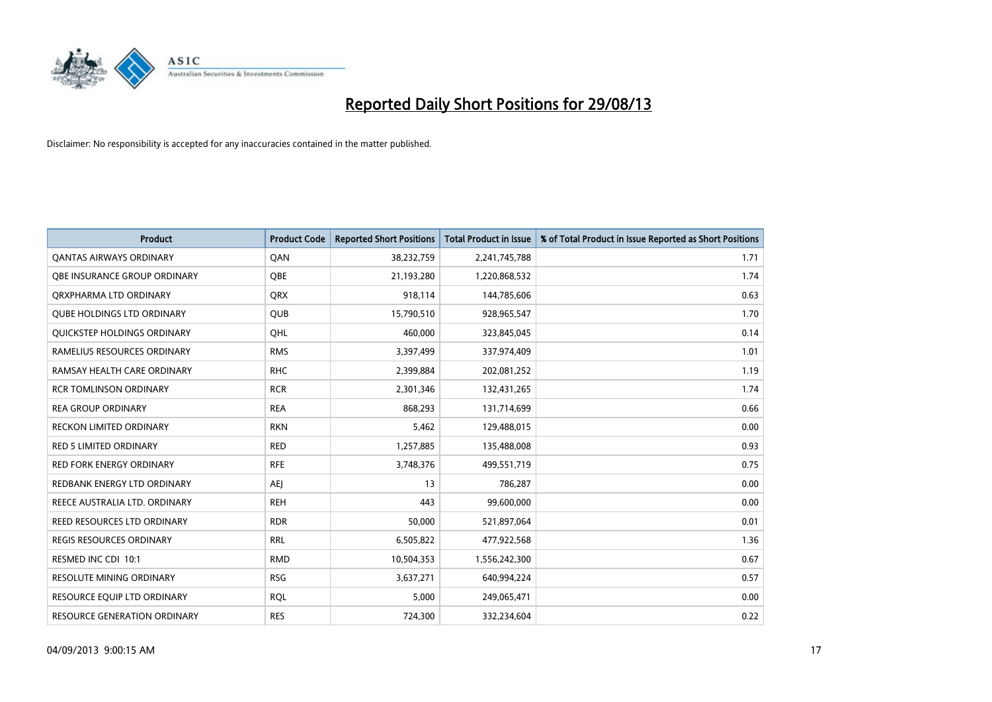

| <b>Product</b>                     | <b>Product Code</b> | <b>Reported Short Positions</b> | <b>Total Product in Issue</b> | % of Total Product in Issue Reported as Short Positions |
|------------------------------------|---------------------|---------------------------------|-------------------------------|---------------------------------------------------------|
| <b>QANTAS AIRWAYS ORDINARY</b>     | QAN                 | 38,232,759                      | 2,241,745,788                 | 1.71                                                    |
| OBE INSURANCE GROUP ORDINARY       | <b>OBE</b>          | 21,193,280                      | 1,220,868,532                 | 1.74                                                    |
| ORXPHARMA LTD ORDINARY             | <b>QRX</b>          | 918,114                         | 144,785,606                   | 0.63                                                    |
| <b>QUBE HOLDINGS LTD ORDINARY</b>  | QUB                 | 15,790,510                      | 928,965,547                   | 1.70                                                    |
| QUICKSTEP HOLDINGS ORDINARY        | OHL                 | 460,000                         | 323,845,045                   | 0.14                                                    |
| RAMELIUS RESOURCES ORDINARY        | <b>RMS</b>          | 3,397,499                       | 337,974,409                   | 1.01                                                    |
| RAMSAY HEALTH CARE ORDINARY        | <b>RHC</b>          | 2,399,884                       | 202,081,252                   | 1.19                                                    |
| <b>RCR TOMLINSON ORDINARY</b>      | <b>RCR</b>          | 2,301,346                       | 132,431,265                   | 1.74                                                    |
| <b>REA GROUP ORDINARY</b>          | <b>REA</b>          | 868,293                         | 131,714,699                   | 0.66                                                    |
| <b>RECKON LIMITED ORDINARY</b>     | <b>RKN</b>          | 5,462                           | 129,488,015                   | 0.00                                                    |
| RED 5 LIMITED ORDINARY             | <b>RED</b>          | 1,257,885                       | 135,488,008                   | 0.93                                                    |
| <b>RED FORK ENERGY ORDINARY</b>    | <b>RFE</b>          | 3,748,376                       | 499,551,719                   | 0.75                                                    |
| REDBANK ENERGY LTD ORDINARY        | <b>AEI</b>          | 13                              | 786,287                       | 0.00                                                    |
| REECE AUSTRALIA LTD. ORDINARY      | <b>REH</b>          | 443                             | 99,600,000                    | 0.00                                                    |
| <b>REED RESOURCES LTD ORDINARY</b> | <b>RDR</b>          | 50,000                          | 521,897,064                   | 0.01                                                    |
| <b>REGIS RESOURCES ORDINARY</b>    | <b>RRL</b>          | 6,505,822                       | 477,922,568                   | 1.36                                                    |
| RESMED INC CDI 10:1                | <b>RMD</b>          | 10,504,353                      | 1,556,242,300                 | 0.67                                                    |
| RESOLUTE MINING ORDINARY           | <b>RSG</b>          | 3,637,271                       | 640,994,224                   | 0.57                                                    |
| RESOURCE EQUIP LTD ORDINARY        | <b>ROL</b>          | 5,000                           | 249,065,471                   | 0.00                                                    |
| RESOURCE GENERATION ORDINARY       | <b>RES</b>          | 724,300                         | 332,234,604                   | 0.22                                                    |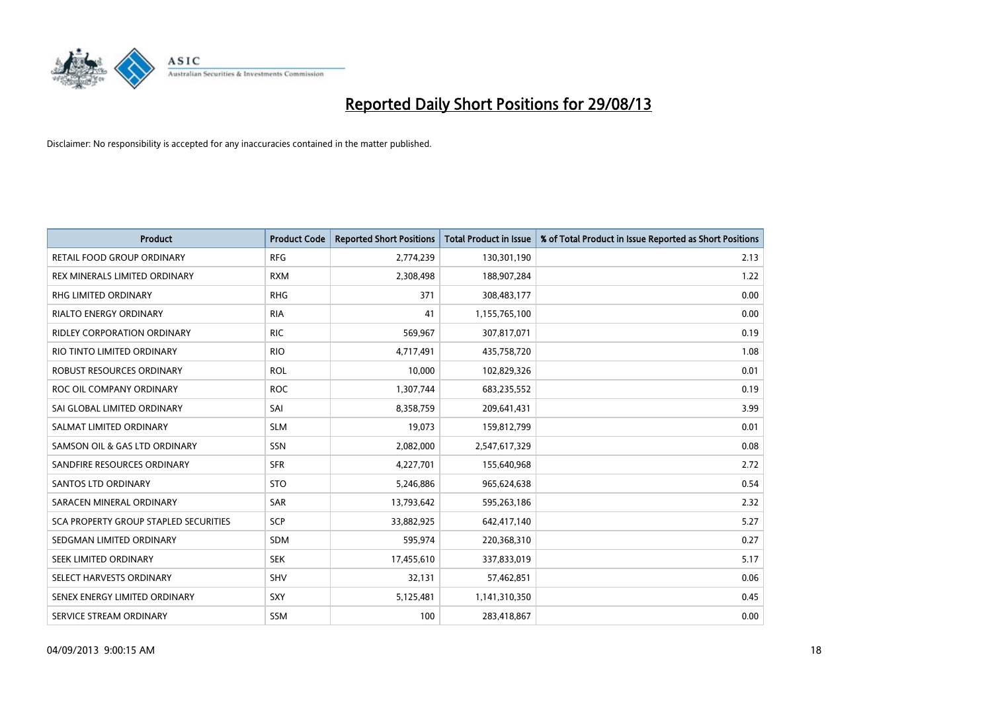

| <b>Product</b>                               | <b>Product Code</b> | <b>Reported Short Positions</b> | <b>Total Product in Issue</b> | % of Total Product in Issue Reported as Short Positions |
|----------------------------------------------|---------------------|---------------------------------|-------------------------------|---------------------------------------------------------|
| <b>RETAIL FOOD GROUP ORDINARY</b>            | <b>RFG</b>          | 2,774,239                       | 130,301,190                   | 2.13                                                    |
| REX MINERALS LIMITED ORDINARY                | <b>RXM</b>          | 2,308,498                       | 188,907,284                   | 1.22                                                    |
| RHG LIMITED ORDINARY                         | <b>RHG</b>          | 371                             | 308,483,177                   | 0.00                                                    |
| <b>RIALTO ENERGY ORDINARY</b>                | <b>RIA</b>          | 41                              | 1,155,765,100                 | 0.00                                                    |
| <b>RIDLEY CORPORATION ORDINARY</b>           | <b>RIC</b>          | 569,967                         | 307,817,071                   | 0.19                                                    |
| RIO TINTO LIMITED ORDINARY                   | <b>RIO</b>          | 4,717,491                       | 435,758,720                   | 1.08                                                    |
| <b>ROBUST RESOURCES ORDINARY</b>             | <b>ROL</b>          | 10,000                          | 102,829,326                   | 0.01                                                    |
| ROC OIL COMPANY ORDINARY                     | <b>ROC</b>          | 1,307,744                       | 683,235,552                   | 0.19                                                    |
| SAI GLOBAL LIMITED ORDINARY                  | SAI                 | 8,358,759                       | 209,641,431                   | 3.99                                                    |
| SALMAT LIMITED ORDINARY                      | <b>SLM</b>          | 19,073                          | 159,812,799                   | 0.01                                                    |
| SAMSON OIL & GAS LTD ORDINARY                | SSN                 | 2,082,000                       | 2,547,617,329                 | 0.08                                                    |
| SANDFIRE RESOURCES ORDINARY                  | <b>SFR</b>          | 4,227,701                       | 155,640,968                   | 2.72                                                    |
| SANTOS LTD ORDINARY                          | <b>STO</b>          | 5,246,886                       | 965,624,638                   | 0.54                                                    |
| SARACEN MINERAL ORDINARY                     | SAR                 | 13,793,642                      | 595,263,186                   | 2.32                                                    |
| <b>SCA PROPERTY GROUP STAPLED SECURITIES</b> | SCP                 | 33,882,925                      | 642,417,140                   | 5.27                                                    |
| SEDGMAN LIMITED ORDINARY                     | SDM                 | 595,974                         | 220,368,310                   | 0.27                                                    |
| SEEK LIMITED ORDINARY                        | <b>SEK</b>          | 17,455,610                      | 337,833,019                   | 5.17                                                    |
| SELECT HARVESTS ORDINARY                     | SHV                 | 32,131                          | 57,462,851                    | 0.06                                                    |
| SENEX ENERGY LIMITED ORDINARY                | <b>SXY</b>          | 5,125,481                       | 1,141,310,350                 | 0.45                                                    |
| SERVICE STREAM ORDINARY                      | <b>SSM</b>          | 100                             | 283,418,867                   | 0.00                                                    |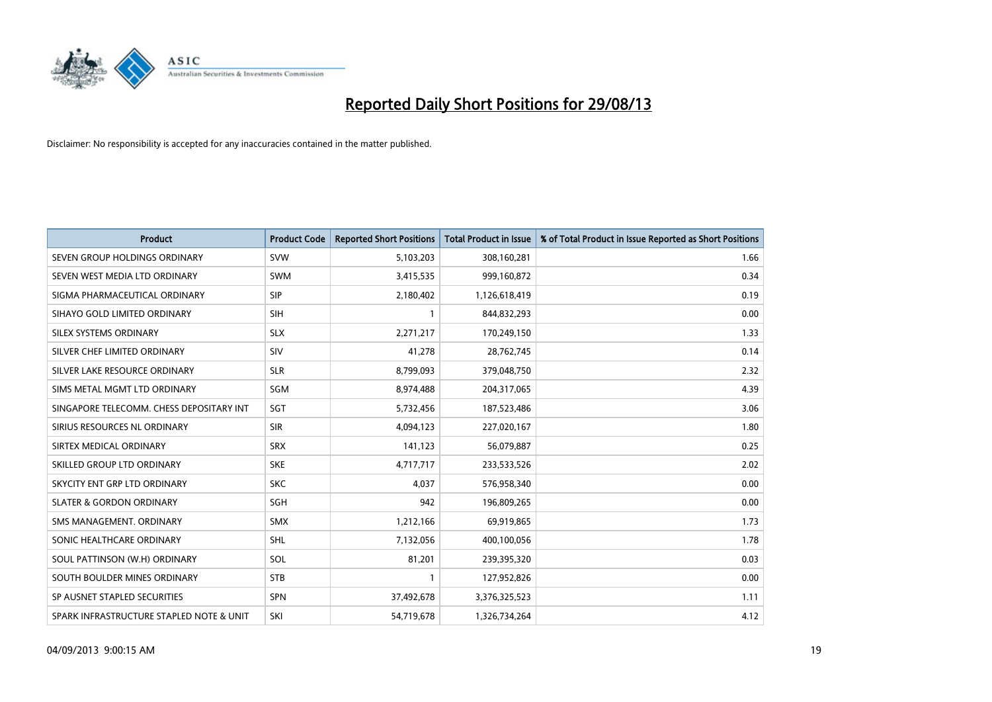

| <b>Product</b>                           | <b>Product Code</b> | <b>Reported Short Positions</b> | <b>Total Product in Issue</b> | % of Total Product in Issue Reported as Short Positions |
|------------------------------------------|---------------------|---------------------------------|-------------------------------|---------------------------------------------------------|
| SEVEN GROUP HOLDINGS ORDINARY            | <b>SVW</b>          | 5,103,203                       | 308,160,281                   | 1.66                                                    |
| SEVEN WEST MEDIA LTD ORDINARY            | <b>SWM</b>          | 3,415,535                       | 999,160,872                   | 0.34                                                    |
| SIGMA PHARMACEUTICAL ORDINARY            | <b>SIP</b>          | 2,180,402                       | 1,126,618,419                 | 0.19                                                    |
| SIHAYO GOLD LIMITED ORDINARY             | <b>SIH</b>          | 1                               | 844,832,293                   | 0.00                                                    |
| SILEX SYSTEMS ORDINARY                   | <b>SLX</b>          | 2,271,217                       | 170,249,150                   | 1.33                                                    |
| SILVER CHEF LIMITED ORDINARY             | SIV                 | 41,278                          | 28,762,745                    | 0.14                                                    |
| SILVER LAKE RESOURCE ORDINARY            | <b>SLR</b>          | 8,799,093                       | 379,048,750                   | 2.32                                                    |
| SIMS METAL MGMT LTD ORDINARY             | SGM                 | 8,974,488                       | 204,317,065                   | 4.39                                                    |
| SINGAPORE TELECOMM. CHESS DEPOSITARY INT | SGT                 | 5,732,456                       | 187,523,486                   | 3.06                                                    |
| SIRIUS RESOURCES NL ORDINARY             | <b>SIR</b>          | 4,094,123                       | 227,020,167                   | 1.80                                                    |
| SIRTEX MEDICAL ORDINARY                  | <b>SRX</b>          | 141,123                         | 56,079,887                    | 0.25                                                    |
| SKILLED GROUP LTD ORDINARY               | <b>SKE</b>          | 4,717,717                       | 233,533,526                   | 2.02                                                    |
| SKYCITY ENT GRP LTD ORDINARY             | <b>SKC</b>          | 4,037                           | 576,958,340                   | 0.00                                                    |
| <b>SLATER &amp; GORDON ORDINARY</b>      | SGH                 | 942                             | 196,809,265                   | 0.00                                                    |
| SMS MANAGEMENT, ORDINARY                 | <b>SMX</b>          | 1,212,166                       | 69,919,865                    | 1.73                                                    |
| SONIC HEALTHCARE ORDINARY                | <b>SHL</b>          | 7,132,056                       | 400,100,056                   | 1.78                                                    |
| SOUL PATTINSON (W.H) ORDINARY            | SOL                 | 81,201                          | 239,395,320                   | 0.03                                                    |
| SOUTH BOULDER MINES ORDINARY             | <b>STB</b>          | 1                               | 127,952,826                   | 0.00                                                    |
| SP AUSNET STAPLED SECURITIES             | <b>SPN</b>          | 37,492,678                      | 3,376,325,523                 | 1.11                                                    |
| SPARK INFRASTRUCTURE STAPLED NOTE & UNIT | SKI                 | 54,719,678                      | 1,326,734,264                 | 4.12                                                    |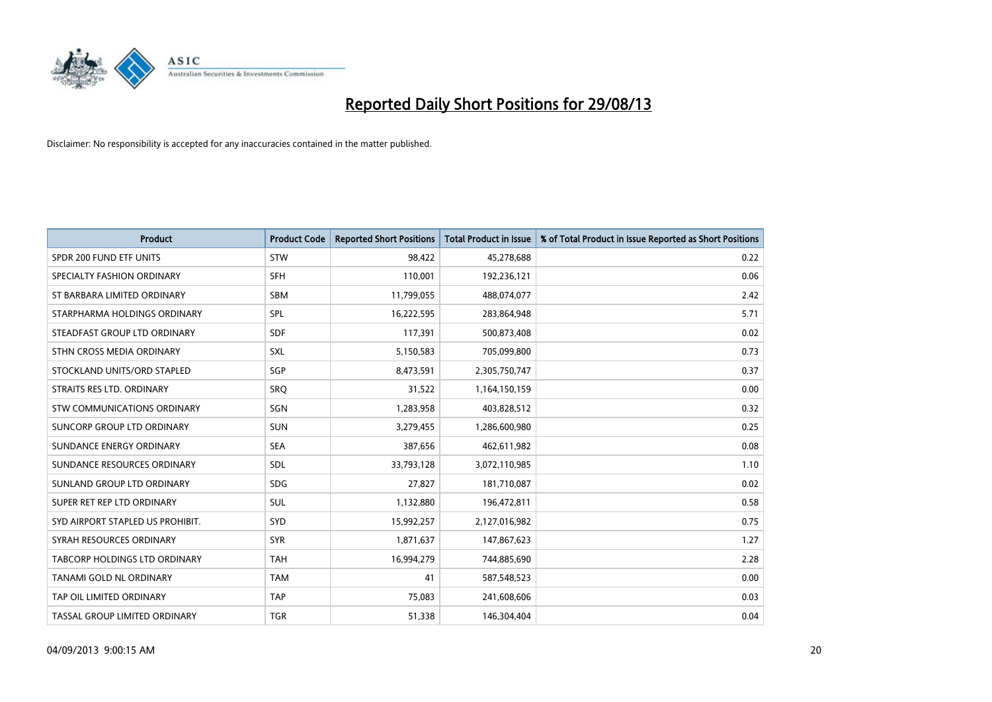

| <b>Product</b>                       | <b>Product Code</b> | <b>Reported Short Positions</b> | <b>Total Product in Issue</b> | % of Total Product in Issue Reported as Short Positions |
|--------------------------------------|---------------------|---------------------------------|-------------------------------|---------------------------------------------------------|
| SPDR 200 FUND ETF UNITS              | <b>STW</b>          | 98,422                          | 45,278,688                    | 0.22                                                    |
| SPECIALTY FASHION ORDINARY           | <b>SFH</b>          | 110,001                         | 192,236,121                   | 0.06                                                    |
| ST BARBARA LIMITED ORDINARY          | <b>SBM</b>          | 11,799,055                      | 488,074,077                   | 2.42                                                    |
| STARPHARMA HOLDINGS ORDINARY         | <b>SPL</b>          | 16,222,595                      | 283,864,948                   | 5.71                                                    |
| STEADFAST GROUP LTD ORDINARY         | <b>SDF</b>          | 117,391                         | 500,873,408                   | 0.02                                                    |
| STHN CROSS MEDIA ORDINARY            | SXL                 | 5,150,583                       | 705,099,800                   | 0.73                                                    |
| STOCKLAND UNITS/ORD STAPLED          | SGP                 | 8,473,591                       | 2,305,750,747                 | 0.37                                                    |
| STRAITS RES LTD. ORDINARY            | SRO                 | 31,522                          | 1,164,150,159                 | 0.00                                                    |
| STW COMMUNICATIONS ORDINARY          | SGN                 | 1,283,958                       | 403,828,512                   | 0.32                                                    |
| SUNCORP GROUP LTD ORDINARY           | <b>SUN</b>          | 3,279,455                       | 1,286,600,980                 | 0.25                                                    |
| SUNDANCE ENERGY ORDINARY             | <b>SEA</b>          | 387,656                         | 462,611,982                   | 0.08                                                    |
| SUNDANCE RESOURCES ORDINARY          | <b>SDL</b>          | 33,793,128                      | 3,072,110,985                 | 1.10                                                    |
| SUNLAND GROUP LTD ORDINARY           | <b>SDG</b>          | 27,827                          | 181,710,087                   | 0.02                                                    |
| SUPER RET REP LTD ORDINARY           | <b>SUL</b>          | 1,132,880                       | 196,472,811                   | 0.58                                                    |
| SYD AIRPORT STAPLED US PROHIBIT.     | <b>SYD</b>          | 15,992,257                      | 2,127,016,982                 | 0.75                                                    |
| SYRAH RESOURCES ORDINARY             | <b>SYR</b>          | 1,871,637                       | 147,867,623                   | 1.27                                                    |
| <b>TABCORP HOLDINGS LTD ORDINARY</b> | <b>TAH</b>          | 16,994,279                      | 744,885,690                   | 2.28                                                    |
| <b>TANAMI GOLD NL ORDINARY</b>       | <b>TAM</b>          | 41                              | 587,548,523                   | 0.00                                                    |
| TAP OIL LIMITED ORDINARY             | <b>TAP</b>          | 75,083                          | 241,608,606                   | 0.03                                                    |
| TASSAL GROUP LIMITED ORDINARY        | <b>TGR</b>          | 51,338                          | 146,304,404                   | 0.04                                                    |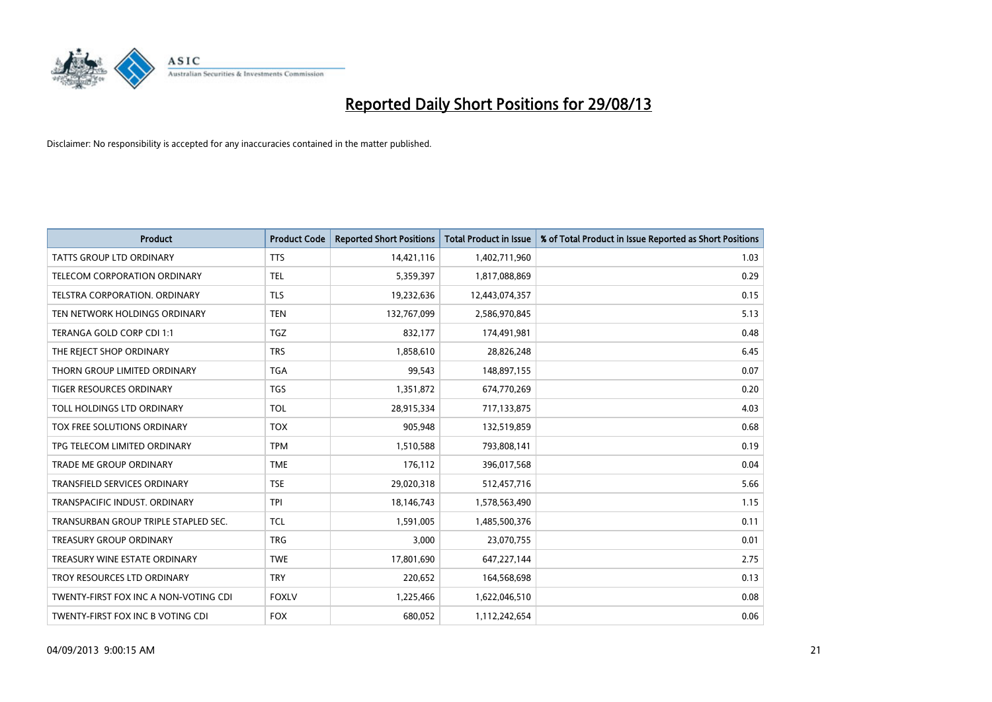

| <b>Product</b>                        | <b>Product Code</b> | <b>Reported Short Positions</b> | <b>Total Product in Issue</b> | % of Total Product in Issue Reported as Short Positions |
|---------------------------------------|---------------------|---------------------------------|-------------------------------|---------------------------------------------------------|
| <b>TATTS GROUP LTD ORDINARY</b>       | <b>TTS</b>          | 14,421,116                      | 1,402,711,960                 | 1.03                                                    |
| <b>TELECOM CORPORATION ORDINARY</b>   | <b>TEL</b>          | 5,359,397                       | 1,817,088,869                 | 0.29                                                    |
| <b>TELSTRA CORPORATION, ORDINARY</b>  | <b>TLS</b>          | 19,232,636                      | 12,443,074,357                | 0.15                                                    |
| TEN NETWORK HOLDINGS ORDINARY         | <b>TEN</b>          | 132,767,099                     | 2,586,970,845                 | 5.13                                                    |
| TERANGA GOLD CORP CDI 1:1             | TGZ                 | 832,177                         | 174,491,981                   | 0.48                                                    |
| THE REJECT SHOP ORDINARY              | <b>TRS</b>          | 1,858,610                       | 28,826,248                    | 6.45                                                    |
| THORN GROUP LIMITED ORDINARY          | <b>TGA</b>          | 99,543                          | 148,897,155                   | 0.07                                                    |
| TIGER RESOURCES ORDINARY              | <b>TGS</b>          | 1,351,872                       | 674,770,269                   | 0.20                                                    |
| TOLL HOLDINGS LTD ORDINARY            | <b>TOL</b>          | 28,915,334                      | 717,133,875                   | 4.03                                                    |
| TOX FREE SOLUTIONS ORDINARY           | <b>TOX</b>          | 905,948                         | 132,519,859                   | 0.68                                                    |
| TPG TELECOM LIMITED ORDINARY          | <b>TPM</b>          | 1,510,588                       | 793,808,141                   | 0.19                                                    |
| <b>TRADE ME GROUP ORDINARY</b>        | <b>TME</b>          | 176,112                         | 396,017,568                   | 0.04                                                    |
| TRANSFIELD SERVICES ORDINARY          | <b>TSE</b>          | 29,020,318                      | 512,457,716                   | 5.66                                                    |
| TRANSPACIFIC INDUST, ORDINARY         | <b>TPI</b>          | 18,146,743                      | 1,578,563,490                 | 1.15                                                    |
| TRANSURBAN GROUP TRIPLE STAPLED SEC.  | <b>TCL</b>          | 1,591,005                       | 1,485,500,376                 | 0.11                                                    |
| TREASURY GROUP ORDINARY               | <b>TRG</b>          | 3,000                           | 23,070,755                    | 0.01                                                    |
| TREASURY WINE ESTATE ORDINARY         | <b>TWE</b>          | 17,801,690                      | 647,227,144                   | 2.75                                                    |
| TROY RESOURCES LTD ORDINARY           | <b>TRY</b>          | 220,652                         | 164,568,698                   | 0.13                                                    |
| TWENTY-FIRST FOX INC A NON-VOTING CDI | <b>FOXLV</b>        | 1,225,466                       | 1,622,046,510                 | 0.08                                                    |
| TWENTY-FIRST FOX INC B VOTING CDI     | <b>FOX</b>          | 680,052                         | 1,112,242,654                 | 0.06                                                    |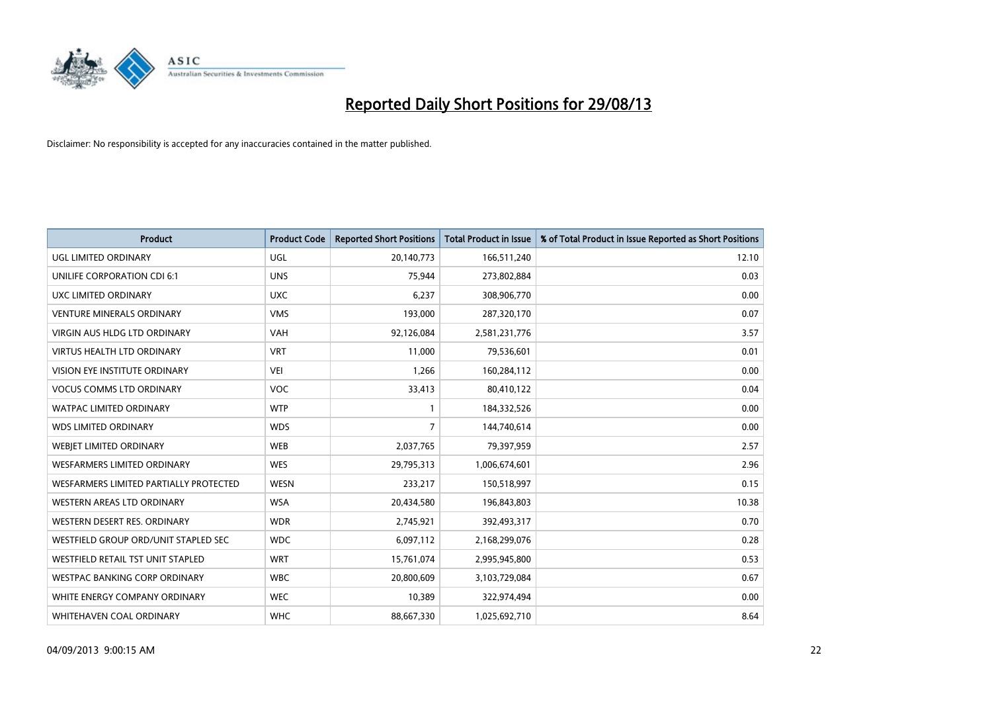

| <b>Product</b>                           | <b>Product Code</b> | <b>Reported Short Positions</b> | <b>Total Product in Issue</b> | % of Total Product in Issue Reported as Short Positions |
|------------------------------------------|---------------------|---------------------------------|-------------------------------|---------------------------------------------------------|
| <b>UGL LIMITED ORDINARY</b>              | UGL                 | 20,140,773                      | 166,511,240                   | 12.10                                                   |
| UNILIFE CORPORATION CDI 6:1              | <b>UNS</b>          | 75,944                          | 273,802,884                   | 0.03                                                    |
| UXC LIMITED ORDINARY                     | <b>UXC</b>          | 6,237                           | 308,906,770                   | 0.00                                                    |
| <b>VENTURE MINERALS ORDINARY</b>         | <b>VMS</b>          | 193,000                         | 287,320,170                   | 0.07                                                    |
| <b>VIRGIN AUS HLDG LTD ORDINARY</b>      | <b>VAH</b>          | 92,126,084                      | 2,581,231,776                 | 3.57                                                    |
| <b>VIRTUS HEALTH LTD ORDINARY</b>        | <b>VRT</b>          | 11,000                          | 79,536,601                    | 0.01                                                    |
| <b>VISION EYE INSTITUTE ORDINARY</b>     | <b>VEI</b>          | 1,266                           | 160,284,112                   | 0.00                                                    |
| <b>VOCUS COMMS LTD ORDINARY</b>          | VOC                 | 33,413                          | 80,410,122                    | 0.04                                                    |
| WATPAC LIMITED ORDINARY                  | <b>WTP</b>          | 1                               | 184,332,526                   | 0.00                                                    |
| <b>WDS LIMITED ORDINARY</b>              | <b>WDS</b>          | $\overline{7}$                  | 144,740,614                   | 0.00                                                    |
| WEBJET LIMITED ORDINARY                  | <b>WEB</b>          | 2,037,765                       | 79,397,959                    | 2.57                                                    |
| <b>WESFARMERS LIMITED ORDINARY</b>       | <b>WES</b>          | 29,795,313                      | 1,006,674,601                 | 2.96                                                    |
| WESFARMERS LIMITED PARTIALLY PROTECTED   | <b>WESN</b>         | 233,217                         | 150,518,997                   | 0.15                                                    |
| WESTERN AREAS LTD ORDINARY               | <b>WSA</b>          | 20,434,580                      | 196,843,803                   | 10.38                                                   |
| WESTERN DESERT RES. ORDINARY             | <b>WDR</b>          | 2,745,921                       | 392,493,317                   | 0.70                                                    |
| WESTFIELD GROUP ORD/UNIT STAPLED SEC     | <b>WDC</b>          | 6,097,112                       | 2,168,299,076                 | 0.28                                                    |
| <b>WESTFIELD RETAIL TST UNIT STAPLED</b> | <b>WRT</b>          | 15,761,074                      | 2,995,945,800                 | 0.53                                                    |
| <b>WESTPAC BANKING CORP ORDINARY</b>     | <b>WBC</b>          | 20,800,609                      | 3,103,729,084                 | 0.67                                                    |
| WHITE ENERGY COMPANY ORDINARY            | <b>WEC</b>          | 10,389                          | 322,974,494                   | 0.00                                                    |
| WHITEHAVEN COAL ORDINARY                 | <b>WHC</b>          | 88,667,330                      | 1,025,692,710                 | 8.64                                                    |